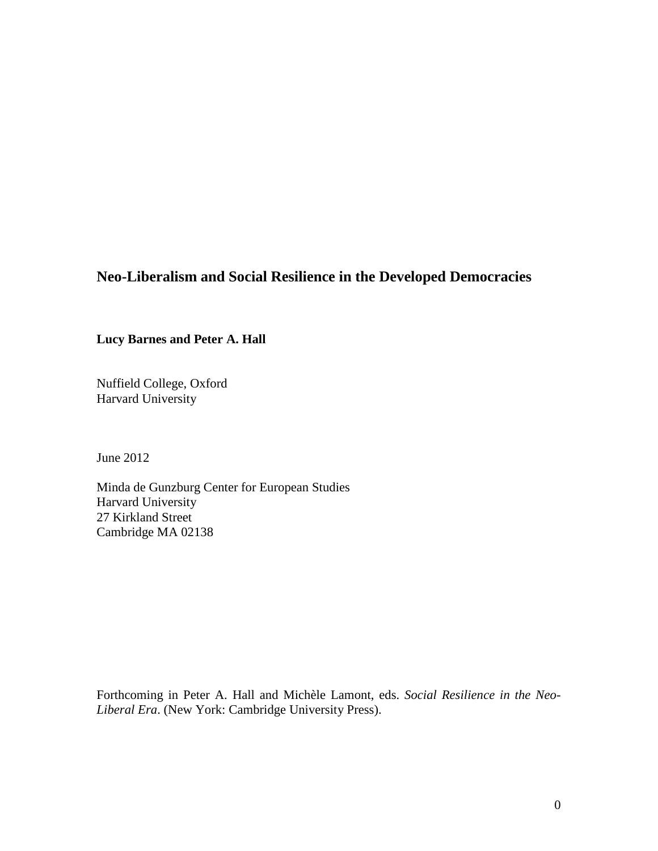# **Neo-Liberalism and Social Resilience in the Developed Democracies**

**Lucy Barnes and Peter A. Hall**

Nuffield College, Oxford Harvard University

June 2012

Minda de Gunzburg Center for European Studies Harvard University 27 Kirkland Street Cambridge MA 02138

Forthcoming in Peter A. Hall and Michèle Lamont, eds. *Social Resilience in the Neo-Liberal Era*. (New York: Cambridge University Press).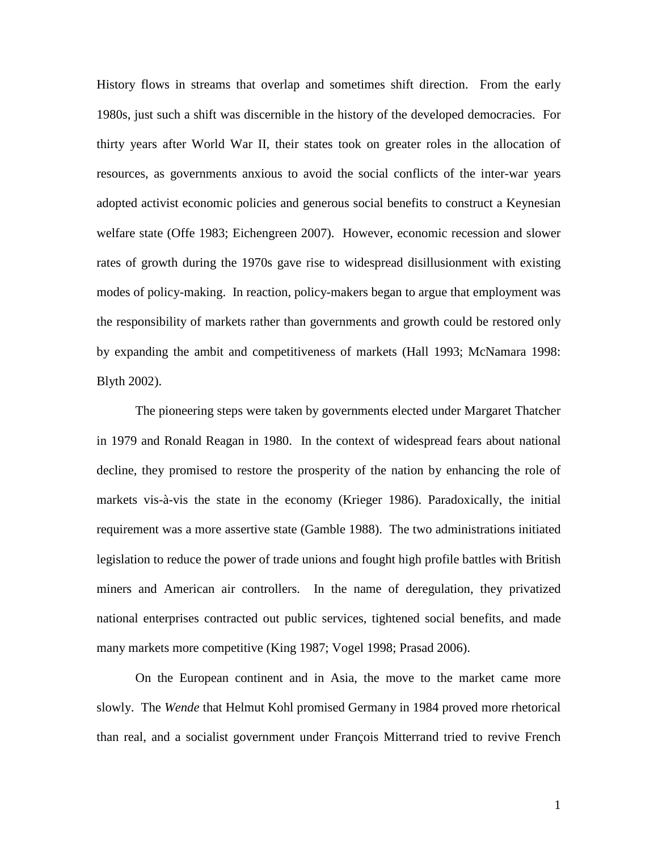History flows in streams that overlap and sometimes shift direction. From the early 1980s, just such a shift was discernible in the history of the developed democracies. For thirty years after World War II, their states took on greater roles in the allocation of resources, as governments anxious to avoid the social conflicts of the inter-war years adopted activist economic policies and generous social benefits to construct a Keynesian welfare state (Offe 1983; Eichengreen 2007). However, economic recession and slower rates of growth during the 1970s gave rise to widespread disillusionment with existing modes of policy-making. In reaction, policy-makers began to argue that employment was the responsibility of markets rather than governments and growth could be restored only by expanding the ambit and competitiveness of markets (Hall 1993; McNamara 1998: Blyth 2002).

The pioneering steps were taken by governments elected under Margaret Thatcher in 1979 and Ronald Reagan in 1980. In the context of widespread fears about national decline, they promised to restore the prosperity of the nation by enhancing the role of markets vis-à-vis the state in the economy (Krieger 1986). Paradoxically, the initial requirement was a more assertive state (Gamble 1988). The two administrations initiated legislation to reduce the power of trade unions and fought high profile battles with British miners and American air controllers. In the name of deregulation, they privatized national enterprises contracted out public services, tightened social benefits, and made many markets more competitive (King 1987; Vogel 1998; Prasad 2006).

On the European continent and in Asia, the move to the market came more slowly. The *Wende* that Helmut Kohl promised Germany in 1984 proved more rhetorical than real, and a socialist government under François Mitterrand tried to revive French

1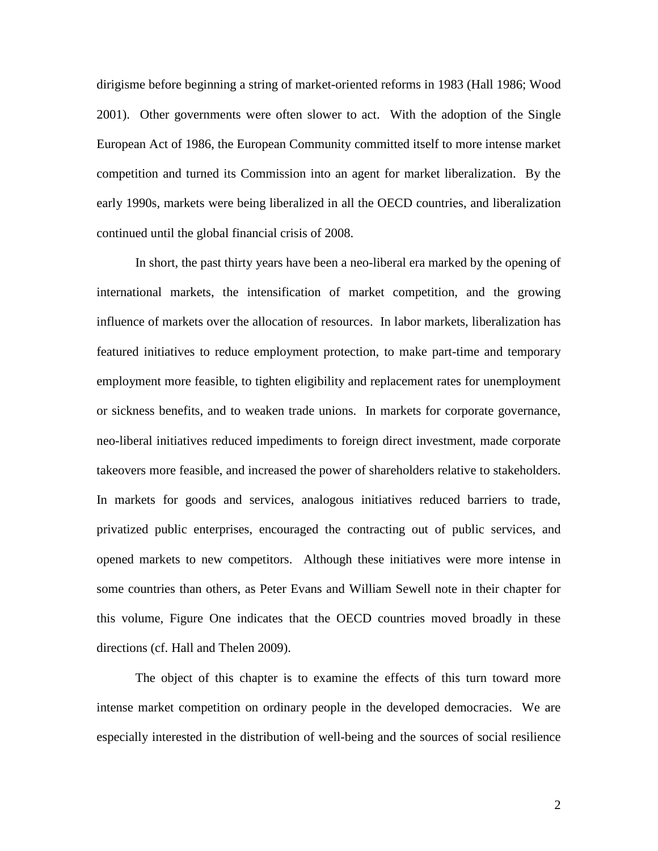dirigisme before beginning a string of market-oriented reforms in 1983 (Hall 1986; Wood 2001). Other governments were often slower to act. With the adoption of the Single European Act of 1986, the European Community committed itself to more intense market competition and turned its Commission into an agent for market liberalization. By the early 1990s, markets were being liberalized in all the OECD countries, and liberalization continued until the global financial crisis of 2008.

In short, the past thirty years have been a neo-liberal era marked by the opening of international markets, the intensification of market competition, and the growing influence of markets over the allocation of resources. In labor markets, liberalization has featured initiatives to reduce employment protection, to make part-time and temporary employment more feasible, to tighten eligibility and replacement rates for unemployment or sickness benefits, and to weaken trade unions. In markets for corporate governance, neo-liberal initiatives reduced impediments to foreign direct investment, made corporate takeovers more feasible, and increased the power of shareholders relative to stakeholders. In markets for goods and services, analogous initiatives reduced barriers to trade, privatized public enterprises, encouraged the contracting out of public services, and opened markets to new competitors. Although these initiatives were more intense in some countries than others, as Peter Evans and William Sewell note in their chapter for this volume, Figure One indicates that the OECD countries moved broadly in these directions (cf. Hall and Thelen 2009).

The object of this chapter is to examine the effects of this turn toward more intense market competition on ordinary people in the developed democracies. We are especially interested in the distribution of well-being and the sources of social resilience

2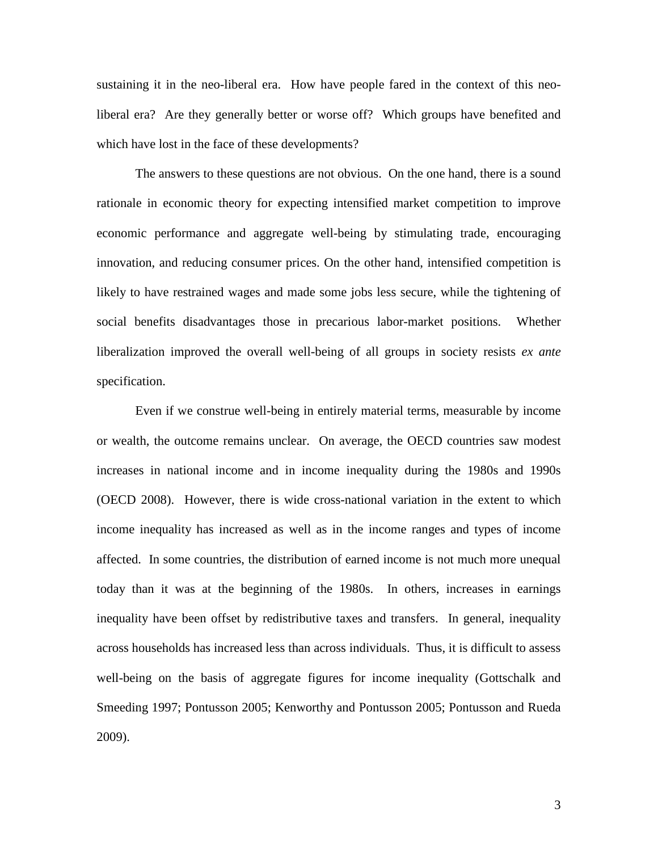sustaining it in the neo-liberal era. How have people fared in the context of this neoliberal era? Are they generally better or worse off? Which groups have benefited and which have lost in the face of these developments?

The answers to these questions are not obvious. On the one hand, there is a sound rationale in economic theory for expecting intensified market competition to improve economic performance and aggregate well-being by stimulating trade, encouraging innovation, and reducing consumer prices. On the other hand, intensified competition is likely to have restrained wages and made some jobs less secure, while the tightening of social benefits disadvantages those in precarious labor-market positions. Whether liberalization improved the overall well-being of all groups in society resists *ex ante* specification.

Even if we construe well-being in entirely material terms, measurable by income or wealth, the outcome remains unclear. On average, the OECD countries saw modest increases in national income and in income inequality during the 1980s and 1990s (OECD 2008). However, there is wide cross-national variation in the extent to which income inequality has increased as well as in the income ranges and types of income affected. In some countries, the distribution of earned income is not much more unequal today than it was at the beginning of the 1980s. In others, increases in earnings inequality have been offset by redistributive taxes and transfers. In general, inequality across households has increased less than across individuals. Thus, it is difficult to assess well-being on the basis of aggregate figures for income inequality (Gottschalk and Smeeding 1997; Pontusson 2005; Kenworthy and Pontusson 2005; Pontusson and Rueda 2009).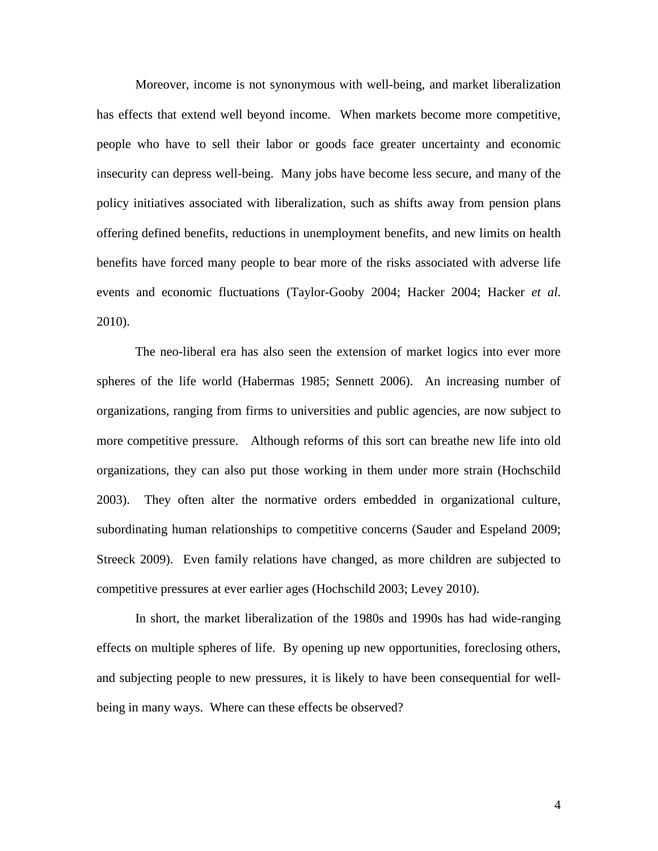Moreover, income is not synonymous with well-being, and market liberalization has effects that extend well beyond income. When markets become more competitive, people who have to sell their labor or goods face greater uncertainty and economic insecurity can depress well-being. Many jobs have become less secure, and many of the policy initiatives associated with liberalization, such as shifts away from pension plans offering defined benefits, reductions in unemployment benefits, and new limits on health benefits have forced many people to bear more of the risks associated with adverse life events and economic fluctuations (Taylor-Gooby 2004; Hacker 2004; Hacker *et al*. 2010).

The neo-liberal era has also seen the extension of market logics into ever more spheres of the life world (Habermas 1985; Sennett 2006). An increasing number of organizations, ranging from firms to universities and public agencies, are now subject to more competitive pressure. Although reforms of this sort can breathe new life into old organizations, they can also put those working in them under more strain (Hochschild 2003). They often alter the normative orders embedded in organizational culture, subordinating human relationships to competitive concerns (Sauder and Espeland 2009; Streeck 2009). Even family relations have changed, as more children are subjected to competitive pressures at ever earlier ages (Hochschild 2003; Levey 2010).

In short, the market liberalization of the 1980s and 1990s has had wide-ranging effects on multiple spheres of life. By opening up new opportunities, foreclosing others, and subjecting people to new pressures, it is likely to have been consequential for wellbeing in many ways. Where can these effects be observed?

4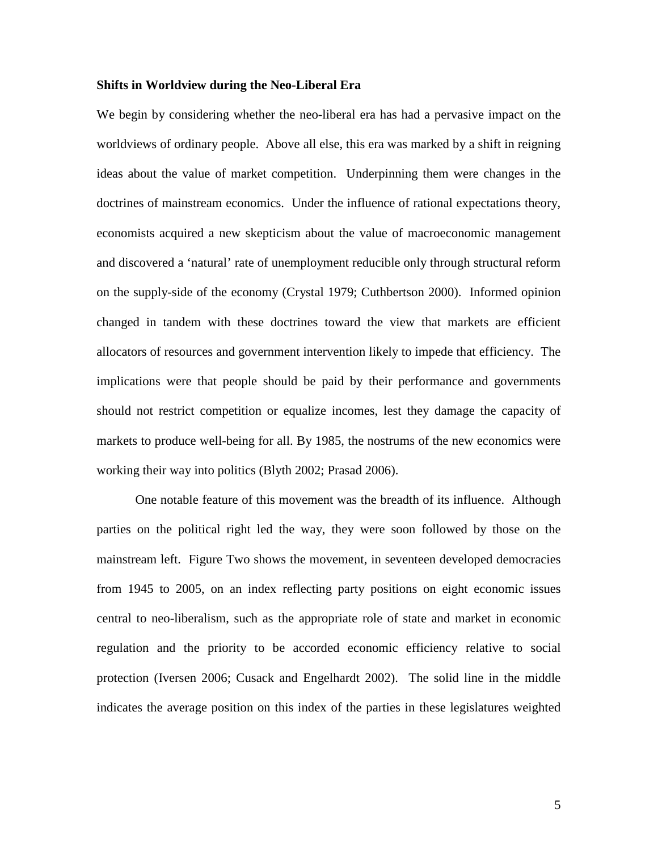# **Shifts in Worldview during the Neo-Liberal Era**

We begin by considering whether the neo-liberal era has had a pervasive impact on the worldviews of ordinary people. Above all else, this era was marked by a shift in reigning ideas about the value of market competition. Underpinning them were changes in the doctrines of mainstream economics. Under the influence of rational expectations theory, economists acquired a new skepticism about the value of macroeconomic management and discovered a 'natural' rate of unemployment reducible only through structural reform on the supply-side of the economy (Crystal 1979; Cuthbertson 2000). Informed opinion changed in tandem with these doctrines toward the view that markets are efficient allocators of resources and government intervention likely to impede that efficiency. The implications were that people should be paid by their performance and governments should not restrict competition or equalize incomes, lest they damage the capacity of markets to produce well-being for all. By 1985, the nostrums of the new economics were working their way into politics (Blyth 2002; Prasad 2006).

One notable feature of this movement was the breadth of its influence. Although parties on the political right led the way, they were soon followed by those on the mainstream left. Figure Two shows the movement, in seventeen developed democracies from 1945 to 2005, on an index reflecting party positions on eight economic issues central to neo-liberalism, such as the appropriate role of state and market in economic regulation and the priority to be accorded economic efficiency relative to social protection (Iversen 2006; Cusack and Engelhardt 2002). The solid line in the middle indicates the average position on this index of the parties in these legislatures weighted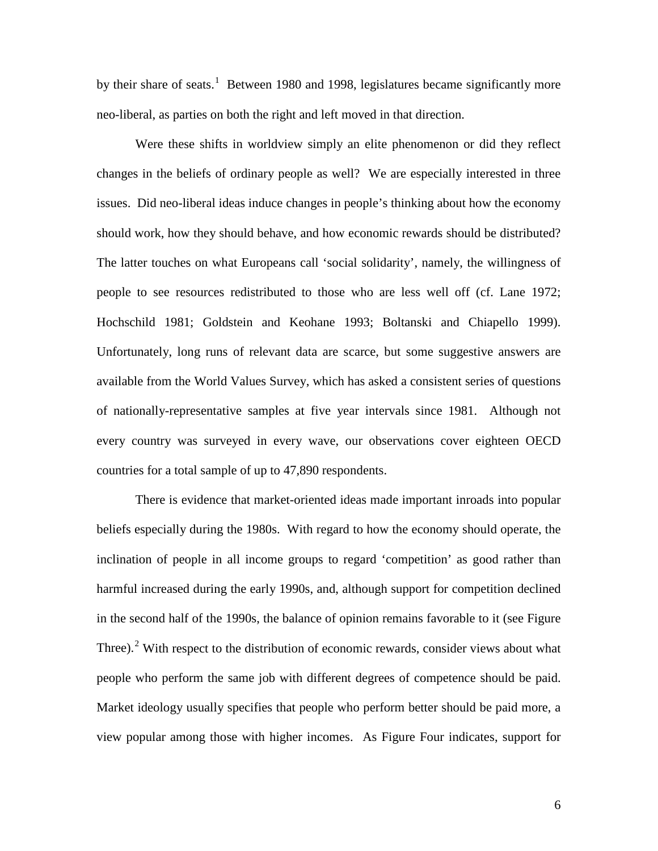by their share of seats.<sup>[1](#page-48-0)</sup> Between 1980 and 1998, legislatures became significantly more neo-liberal, as parties on both the right and left moved in that direction.

Were these shifts in worldview simply an elite phenomenon or did they reflect changes in the beliefs of ordinary people as well? We are especially interested in three issues. Did neo-liberal ideas induce changes in people's thinking about how the economy should work, how they should behave, and how economic rewards should be distributed? The latter touches on what Europeans call 'social solidarity', namely, the willingness of people to see resources redistributed to those who are less well off (cf. Lane 1972; Hochschild 1981; Goldstein and Keohane 1993; Boltanski and Chiapello 1999). Unfortunately, long runs of relevant data are scarce, but some suggestive answers are available from the World Values Survey, which has asked a consistent series of questions of nationally-representative samples at five year intervals since 1981. Although not every country was surveyed in every wave, our observations cover eighteen OECD countries for a total sample of up to 47,890 respondents.

There is evidence that market-oriented ideas made important inroads into popular beliefs especially during the 1980s. With regard to how the economy should operate, the inclination of people in all income groups to regard 'competition' as good rather than harmful increased during the early 1990s, and, although support for competition declined in the second half of the 1990s, the balance of opinion remains favorable to it (see Figure Three).<sup>[2](#page-48-1)</sup> With respect to the distribution of economic rewards, consider views about what people who perform the same job with different degrees of competence should be paid. Market ideology usually specifies that people who perform better should be paid more, a view popular among those with higher incomes. As Figure Four indicates, support for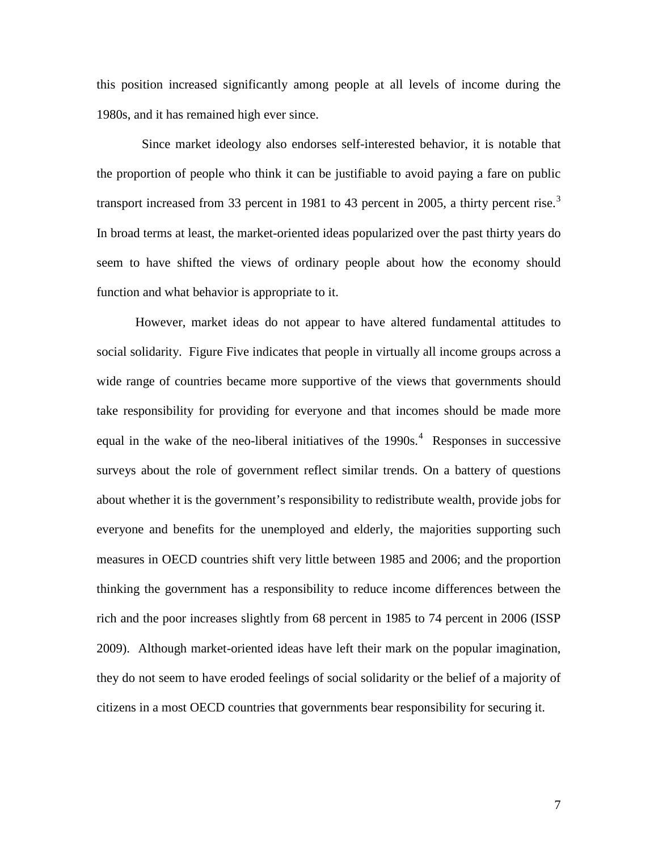this position increased significantly among people at all levels of income during the 1980s, and it has remained high ever since.

 Since market ideology also endorses self-interested behavior, it is notable that the proportion of people who think it can be justifiable to avoid paying a fare on public transport increased from [3](#page-48-2)3 percent in 1981 to 43 percent in 2005, a thirty percent rise.<sup>3</sup> In broad terms at least, the market-oriented ideas popularized over the past thirty years do seem to have shifted the views of ordinary people about how the economy should function and what behavior is appropriate to it.

However, market ideas do not appear to have altered fundamental attitudes to social solidarity. Figure Five indicates that people in virtually all income groups across a wide range of countries became more supportive of the views that governments should take responsibility for providing for everyone and that incomes should be made more equal in the wake of the neo-liberal initiatives of the 1990s.<sup>[4](#page-48-3)</sup> Responses in successive surveys about the role of government reflect similar trends. On a battery of questions about whether it is the government's responsibility to redistribute wealth, provide jobs for everyone and benefits for the unemployed and elderly, the majorities supporting such measures in OECD countries shift very little between 1985 and 2006; and the proportion thinking the government has a responsibility to reduce income differences between the rich and the poor increases slightly from 68 percent in 1985 to 74 percent in 2006 (ISSP 2009). Although market-oriented ideas have left their mark on the popular imagination, they do not seem to have eroded feelings of social solidarity or the belief of a majority of citizens in a most OECD countries that governments bear responsibility for securing it.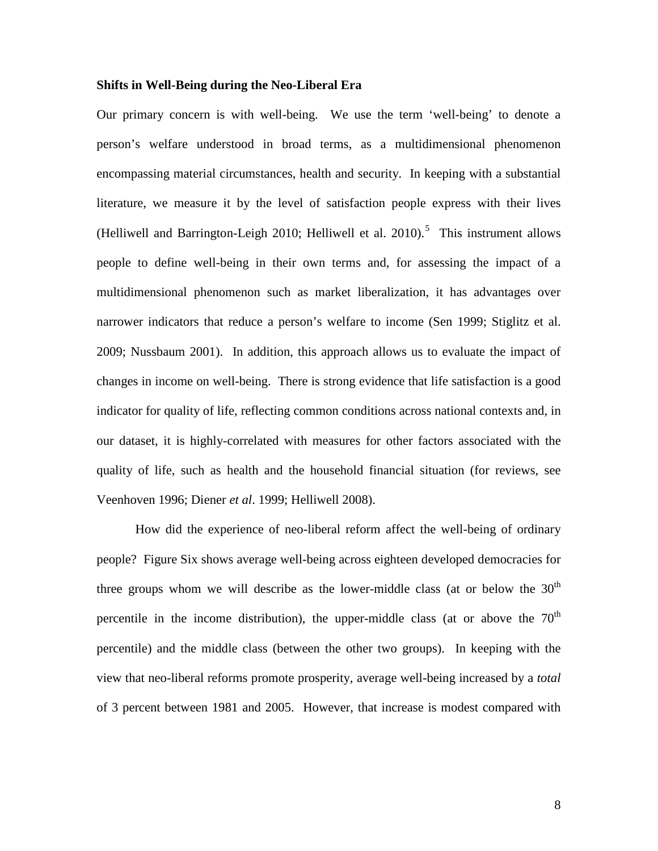# **Shifts in Well-Being during the Neo-Liberal Era**

Our primary concern is with well-being. We use the term 'well-being' to denote a person's welfare understood in broad terms, as a multidimensional phenomenon encompassing material circumstances, health and security. In keeping with a substantial literature, we measure it by the level of satisfaction people express with their lives (Helliwell and Barrington-Leigh 2010; Helliwell et al.  $2010$ ).<sup>[5](#page-48-4)</sup> This instrument allows people to define well-being in their own terms and, for assessing the impact of a multidimensional phenomenon such as market liberalization, it has advantages over narrower indicators that reduce a person's welfare to income (Sen 1999; Stiglitz et al. 2009; Nussbaum 2001). In addition, this approach allows us to evaluate the impact of changes in income on well-being. There is strong evidence that life satisfaction is a good indicator for quality of life, reflecting common conditions across national contexts and, in our dataset, it is highly-correlated with measures for other factors associated with the quality of life, such as health and the household financial situation (for reviews, see Veenhoven 1996; Diener *et al*. 1999; Helliwell 2008).

How did the experience of neo-liberal reform affect the well-being of ordinary people? Figure Six shows average well-being across eighteen developed democracies for three groups whom we will describe as the lower-middle class (at or below the  $30<sup>th</sup>$ percentile in the income distribution), the upper-middle class (at or above the  $70<sup>th</sup>$ percentile) and the middle class (between the other two groups). In keeping with the view that neo-liberal reforms promote prosperity, average well-being increased by a *total* of 3 percent between 1981 and 2005. However, that increase is modest compared with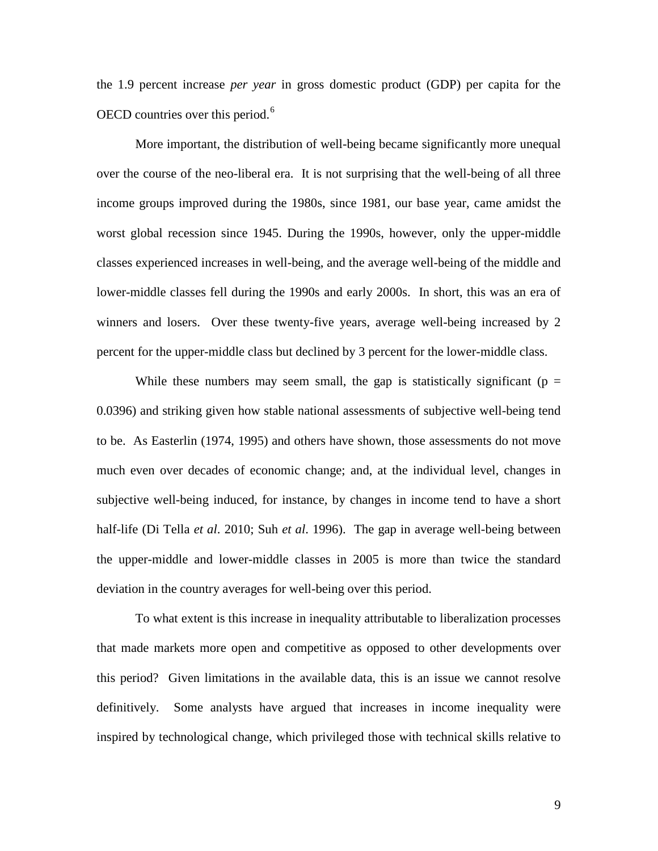the 1.9 percent increase *per year* in gross domestic product (GDP) per capita for the OECD countries over this period.<sup>[6](#page-48-5)</sup>

More important, the distribution of well-being became significantly more unequal over the course of the neo-liberal era. It is not surprising that the well-being of all three income groups improved during the 1980s, since 1981, our base year, came amidst the worst global recession since 1945. During the 1990s, however, only the upper-middle classes experienced increases in well-being, and the average well-being of the middle and lower-middle classes fell during the 1990s and early 2000s. In short, this was an era of winners and losers. Over these twenty-five years, average well-being increased by 2 percent for the upper-middle class but declined by 3 percent for the lower-middle class.

While these numbers may seem small, the gap is statistically significant ( $p =$ 0.0396) and striking given how stable national assessments of subjective well-being tend to be. As Easterlin (1974, 1995) and others have shown, those assessments do not move much even over decades of economic change; and, at the individual level, changes in subjective well-being induced, for instance, by changes in income tend to have a short half-life (Di Tella *et al*. 2010; Suh *et al*. 1996). The gap in average well-being between the upper-middle and lower-middle classes in 2005 is more than twice the standard deviation in the country averages for well-being over this period.

To what extent is this increase in inequality attributable to liberalization processes that made markets more open and competitive as opposed to other developments over this period? Given limitations in the available data, this is an issue we cannot resolve definitively. Some analysts have argued that increases in income inequality were inspired by technological change, which privileged those with technical skills relative to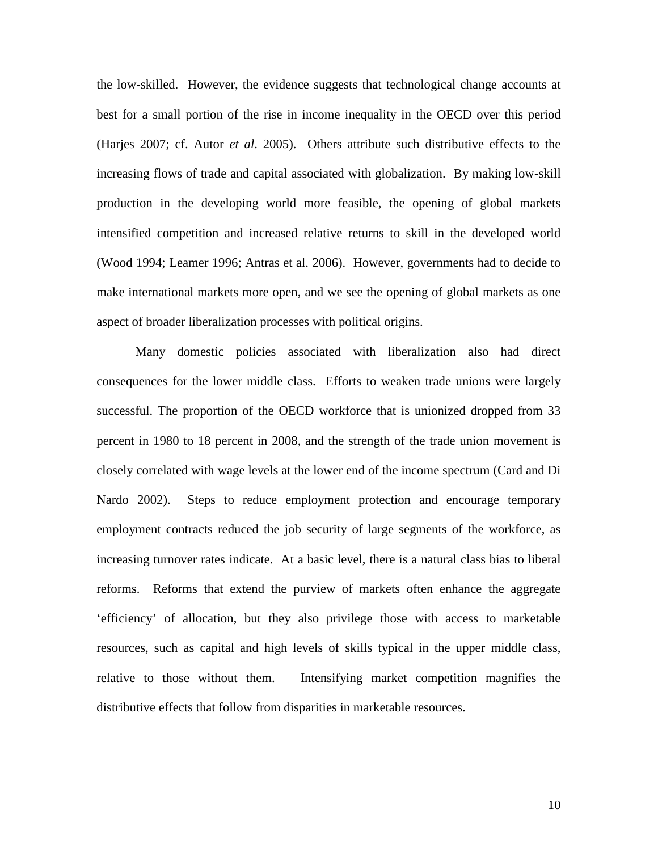the low-skilled. However, the evidence suggests that technological change accounts at best for a small portion of the rise in income inequality in the OECD over this period (Harjes 2007; cf. Autor *et al*. 2005). Others attribute such distributive effects to the increasing flows of trade and capital associated with globalization. By making low-skill production in the developing world more feasible, the opening of global markets intensified competition and increased relative returns to skill in the developed world (Wood 1994; Leamer 1996; Antras et al. 2006). However, governments had to decide to make international markets more open, and we see the opening of global markets as one aspect of broader liberalization processes with political origins.

Many domestic policies associated with liberalization also had direct consequences for the lower middle class. Efforts to weaken trade unions were largely successful. The proportion of the OECD workforce that is unionized dropped from 33 percent in 1980 to 18 percent in 2008, and the strength of the trade union movement is closely correlated with wage levels at the lower end of the income spectrum (Card and Di Nardo 2002). Steps to reduce employment protection and encourage temporary employment contracts reduced the job security of large segments of the workforce, as increasing turnover rates indicate. At a basic level, there is a natural class bias to liberal reforms. Reforms that extend the purview of markets often enhance the aggregate 'efficiency' of allocation, but they also privilege those with access to marketable resources, such as capital and high levels of skills typical in the upper middle class, relative to those without them. Intensifying market competition magnifies the distributive effects that follow from disparities in marketable resources.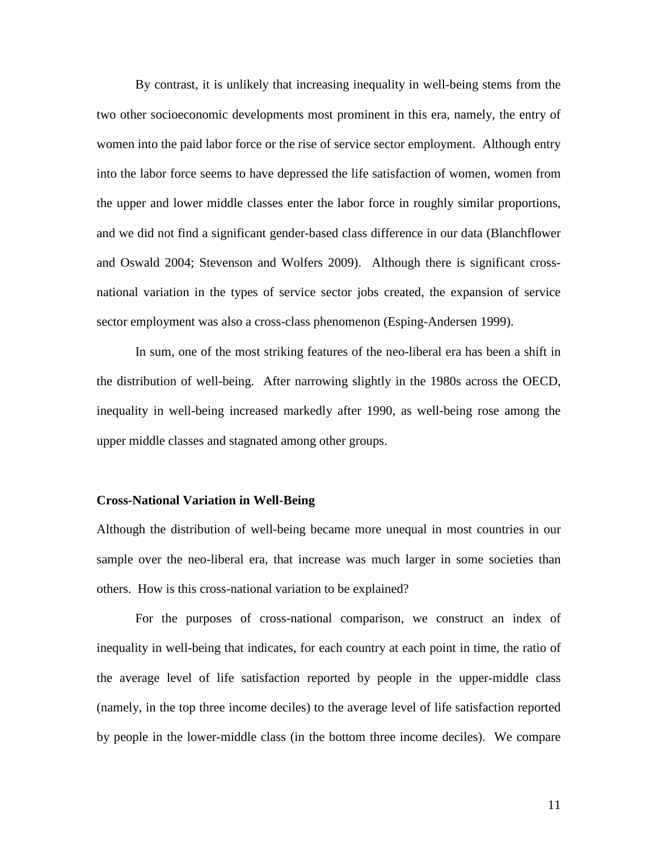By contrast, it is unlikely that increasing inequality in well-being stems from the two other socioeconomic developments most prominent in this era, namely, the entry of women into the paid labor force or the rise of service sector employment. Although entry into the labor force seems to have depressed the life satisfaction of women, women from the upper and lower middle classes enter the labor force in roughly similar proportions, and we did not find a significant gender-based class difference in our data (Blanchflower and Oswald 2004; Stevenson and Wolfers 2009). Although there is significant crossnational variation in the types of service sector jobs created, the expansion of service sector employment was also a cross-class phenomenon (Esping-Andersen 1999).

In sum, one of the most striking features of the neo-liberal era has been a shift in the distribution of well-being. After narrowing slightly in the 1980s across the OECD, inequality in well-being increased markedly after 1990, as well-being rose among the upper middle classes and stagnated among other groups.

# **Cross-National Variation in Well-Being**

Although the distribution of well-being became more unequal in most countries in our sample over the neo-liberal era, that increase was much larger in some societies than others. How is this cross-national variation to be explained?

For the purposes of cross-national comparison, we construct an index of inequality in well-being that indicates, for each country at each point in time, the ratio of the average level of life satisfaction reported by people in the upper-middle class (namely, in the top three income deciles) to the average level of life satisfaction reported by people in the lower-middle class (in the bottom three income deciles). We compare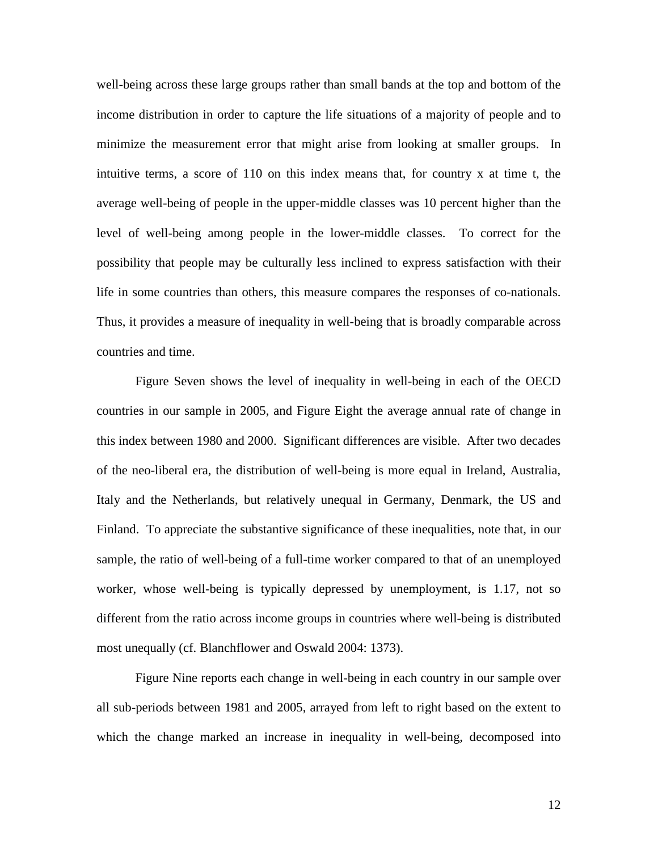well-being across these large groups rather than small bands at the top and bottom of the income distribution in order to capture the life situations of a majority of people and to minimize the measurement error that might arise from looking at smaller groups. In intuitive terms, a score of 110 on this index means that, for country x at time t, the average well-being of people in the upper-middle classes was 10 percent higher than the level of well-being among people in the lower-middle classes. To correct for the possibility that people may be culturally less inclined to express satisfaction with their life in some countries than others, this measure compares the responses of co-nationals. Thus, it provides a measure of inequality in well-being that is broadly comparable across countries and time.

Figure Seven shows the level of inequality in well-being in each of the OECD countries in our sample in 2005, and Figure Eight the average annual rate of change in this index between 1980 and 2000. Significant differences are visible. After two decades of the neo-liberal era, the distribution of well-being is more equal in Ireland, Australia, Italy and the Netherlands, but relatively unequal in Germany, Denmark, the US and Finland. To appreciate the substantive significance of these inequalities, note that, in our sample, the ratio of well-being of a full-time worker compared to that of an unemployed worker, whose well-being is typically depressed by unemployment, is 1.17, not so different from the ratio across income groups in countries where well-being is distributed most unequally (cf. Blanchflower and Oswald 2004: 1373).

Figure Nine reports each change in well-being in each country in our sample over all sub-periods between 1981 and 2005, arrayed from left to right based on the extent to which the change marked an increase in inequality in well-being, decomposed into

12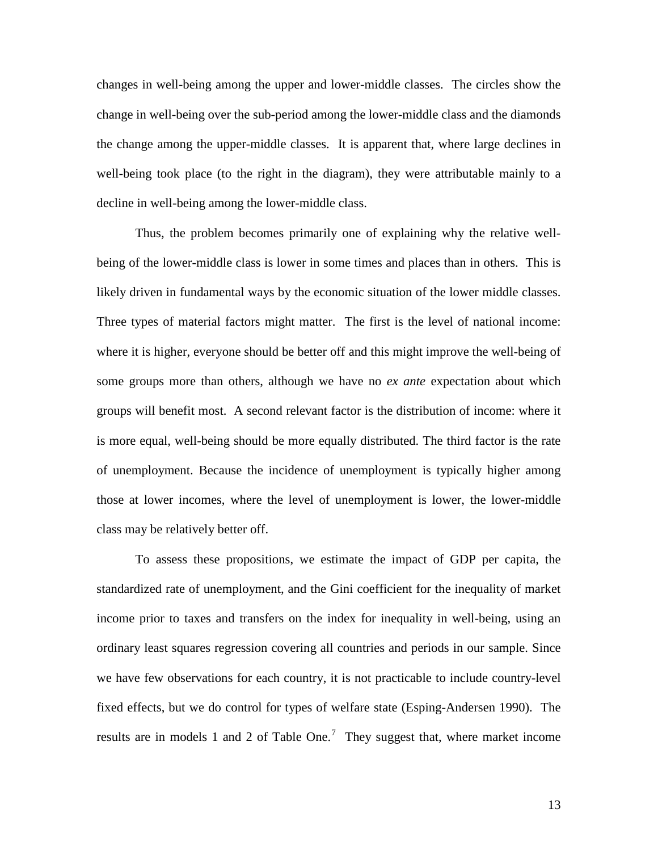changes in well-being among the upper and lower-middle classes. The circles show the change in well-being over the sub-period among the lower-middle class and the diamonds the change among the upper-middle classes. It is apparent that, where large declines in well-being took place (to the right in the diagram), they were attributable mainly to a decline in well-being among the lower-middle class.

Thus, the problem becomes primarily one of explaining why the relative wellbeing of the lower-middle class is lower in some times and places than in others. This is likely driven in fundamental ways by the economic situation of the lower middle classes. Three types of material factors might matter. The first is the level of national income: where it is higher, everyone should be better off and this might improve the well-being of some groups more than others, although we have no *ex ante* expectation about which groups will benefit most. A second relevant factor is the distribution of income: where it is more equal, well-being should be more equally distributed. The third factor is the rate of unemployment. Because the incidence of unemployment is typically higher among those at lower incomes, where the level of unemployment is lower, the lower-middle class may be relatively better off.

To assess these propositions, we estimate the impact of GDP per capita, the standardized rate of unemployment, and the Gini coefficient for the inequality of market income prior to taxes and transfers on the index for inequality in well-being, using an ordinary least squares regression covering all countries and periods in our sample. Since we have few observations for each country, it is not practicable to include country-level fixed effects, but we do control for types of welfare state (Esping-Andersen 1990). The results are in models 1 and 2 of Table One.<sup>[7](#page-48-6)</sup> They suggest that, where market income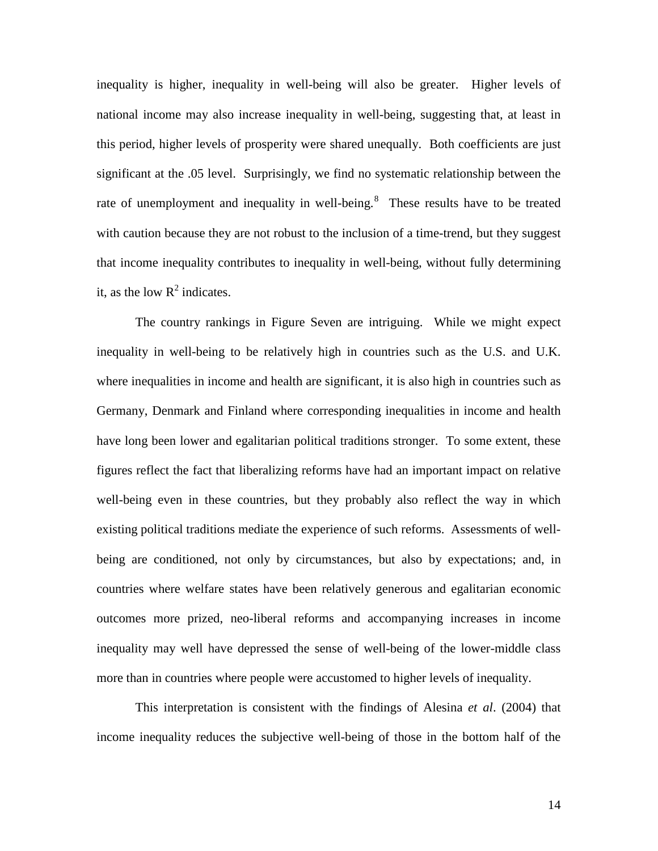inequality is higher, inequality in well-being will also be greater. Higher levels of national income may also increase inequality in well-being, suggesting that, at least in this period, higher levels of prosperity were shared unequally. Both coefficients are just significant at the .05 level. Surprisingly, we find no systematic relationship between the rate of unemployment and inequality in well-being.<sup>[8](#page-48-7)</sup> These results have to be treated with caution because they are not robust to the inclusion of a time-trend, but they suggest that income inequality contributes to inequality in well-being, without fully determining it, as the low  $R^2$  indicates.

The country rankings in Figure Seven are intriguing. While we might expect inequality in well-being to be relatively high in countries such as the U.S. and U.K. where inequalities in income and health are significant, it is also high in countries such as Germany, Denmark and Finland where corresponding inequalities in income and health have long been lower and egalitarian political traditions stronger. To some extent, these figures reflect the fact that liberalizing reforms have had an important impact on relative well-being even in these countries, but they probably also reflect the way in which existing political traditions mediate the experience of such reforms. Assessments of wellbeing are conditioned, not only by circumstances, but also by expectations; and, in countries where welfare states have been relatively generous and egalitarian economic outcomes more prized, neo-liberal reforms and accompanying increases in income inequality may well have depressed the sense of well-being of the lower-middle class more than in countries where people were accustomed to higher levels of inequality.

This interpretation is consistent with the findings of Alesina *et al*. (2004) that income inequality reduces the subjective well-being of those in the bottom half of the

14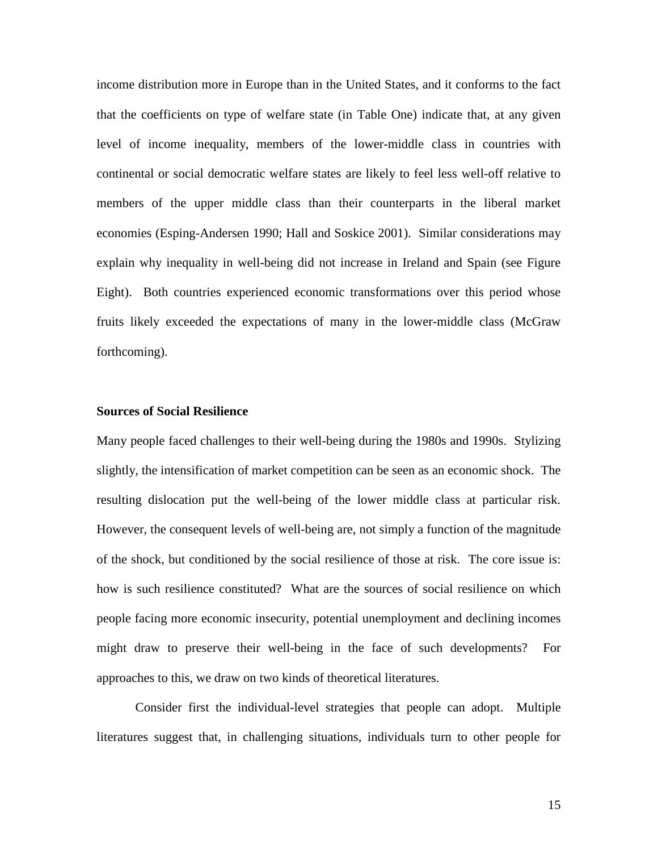income distribution more in Europe than in the United States, and it conforms to the fact that the coefficients on type of welfare state (in Table One) indicate that, at any given level of income inequality, members of the lower-middle class in countries with continental or social democratic welfare states are likely to feel less well-off relative to members of the upper middle class than their counterparts in the liberal market economies (Esping-Andersen 1990; Hall and Soskice 2001). Similar considerations may explain why inequality in well-being did not increase in Ireland and Spain (see Figure Eight). Both countries experienced economic transformations over this period whose fruits likely exceeded the expectations of many in the lower-middle class (McGraw forthcoming).

# **Sources of Social Resilience**

Many people faced challenges to their well-being during the 1980s and 1990s. Stylizing slightly, the intensification of market competition can be seen as an economic shock. The resulting dislocation put the well-being of the lower middle class at particular risk. However, the consequent levels of well-being are, not simply a function of the magnitude of the shock, but conditioned by the social resilience of those at risk. The core issue is: how is such resilience constituted? What are the sources of social resilience on which people facing more economic insecurity, potential unemployment and declining incomes might draw to preserve their well-being in the face of such developments? For approaches to this, we draw on two kinds of theoretical literatures.

Consider first the individual-level strategies that people can adopt. Multiple literatures suggest that, in challenging situations, individuals turn to other people for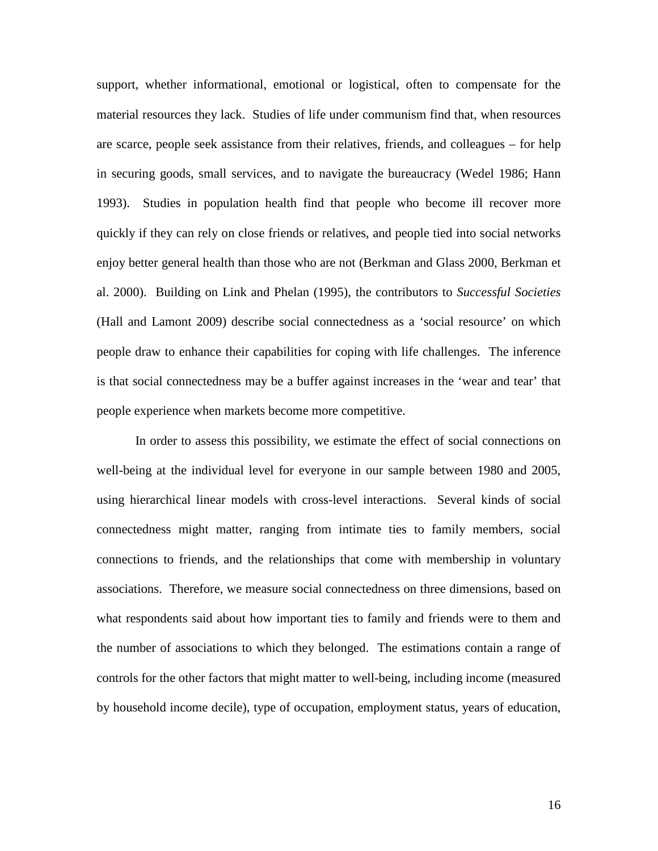support, whether informational, emotional or logistical, often to compensate for the material resources they lack. Studies of life under communism find that, when resources are scarce, people seek assistance from their relatives, friends, and colleagues – for help in securing goods, small services, and to navigate the bureaucracy (Wedel 1986; Hann 1993). Studies in population health find that people who become ill recover more quickly if they can rely on close friends or relatives, and people tied into social networks enjoy better general health than those who are not (Berkman and Glass 2000, Berkman et al. 2000). Building on Link and Phelan (1995), the contributors to *Successful Societies* (Hall and Lamont 2009) describe social connectedness as a 'social resource' on which people draw to enhance their capabilities for coping with life challenges. The inference is that social connectedness may be a buffer against increases in the 'wear and tear' that people experience when markets become more competitive.

In order to assess this possibility, we estimate the effect of social connections on well-being at the individual level for everyone in our sample between 1980 and 2005, using hierarchical linear models with cross-level interactions. Several kinds of social connectedness might matter, ranging from intimate ties to family members, social connections to friends, and the relationships that come with membership in voluntary associations. Therefore, we measure social connectedness on three dimensions, based on what respondents said about how important ties to family and friends were to them and the number of associations to which they belonged. The estimations contain a range of controls for the other factors that might matter to well-being, including income (measured by household income decile), type of occupation, employment status, years of education,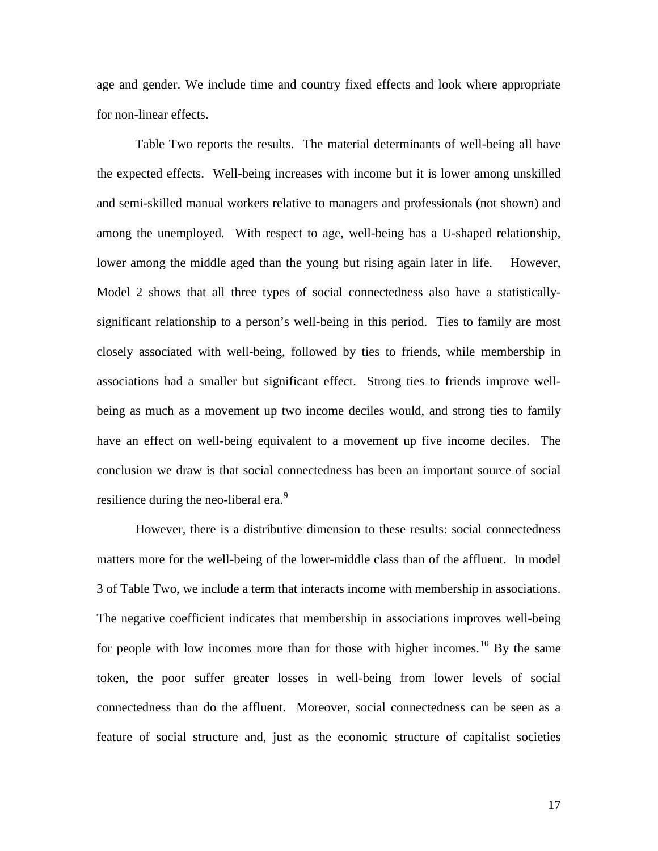age and gender. We include time and country fixed effects and look where appropriate for non-linear effects.

Table Two reports the results. The material determinants of well-being all have the expected effects. Well-being increases with income but it is lower among unskilled and semi-skilled manual workers relative to managers and professionals (not shown) and among the unemployed. With respect to age, well-being has a U-shaped relationship, lower among the middle aged than the young but rising again later in life. However, Model 2 shows that all three types of social connectedness also have a statisticallysignificant relationship to a person's well-being in this period. Ties to family are most closely associated with well-being, followed by ties to friends, while membership in associations had a smaller but significant effect. Strong ties to friends improve wellbeing as much as a movement up two income deciles would, and strong ties to family have an effect on well-being equivalent to a movement up five income deciles. The conclusion we draw is that social connectedness has been an important source of social resilience during the neo-liberal era.<sup>[9](#page-48-8)</sup>

However, there is a distributive dimension to these results: social connectedness matters more for the well-being of the lower-middle class than of the affluent. In model 3 of Table Two, we include a term that interacts income with membership in associations. The negative coefficient indicates that membership in associations improves well-being for people with low incomes more than for those with higher incomes.<sup>[10](#page-48-9)</sup> By the same token, the poor suffer greater losses in well-being from lower levels of social connectedness than do the affluent. Moreover, social connectedness can be seen as a feature of social structure and, just as the economic structure of capitalist societies

17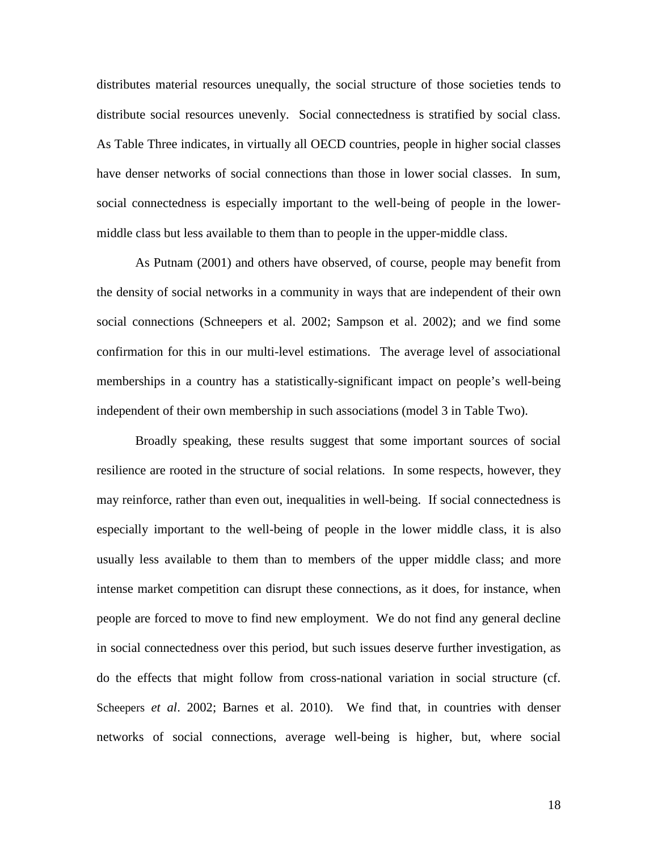distributes material resources unequally, the social structure of those societies tends to distribute social resources unevenly. Social connectedness is stratified by social class. As Table Three indicates, in virtually all OECD countries, people in higher social classes have denser networks of social connections than those in lower social classes. In sum, social connectedness is especially important to the well-being of people in the lowermiddle class but less available to them than to people in the upper-middle class.

As Putnam (2001) and others have observed, of course, people may benefit from the density of social networks in a community in ways that are independent of their own social connections (Schneepers et al. 2002; Sampson et al. 2002); and we find some confirmation for this in our multi-level estimations. The average level of associational memberships in a country has a statistically-significant impact on people's well-being independent of their own membership in such associations (model 3 in Table Two).

Broadly speaking, these results suggest that some important sources of social resilience are rooted in the structure of social relations. In some respects, however, they may reinforce, rather than even out, inequalities in well-being. If social connectedness is especially important to the well-being of people in the lower middle class, it is also usually less available to them than to members of the upper middle class; and more intense market competition can disrupt these connections, as it does, for instance, when people are forced to move to find new employment. We do not find any general decline in social connectedness over this period, but such issues deserve further investigation, as do the effects that might follow from cross-national variation in social structure (cf. Scheepers *et al*. 2002; Barnes et al. 2010). We find that, in countries with denser networks of social connections, average well-being is higher, but, where social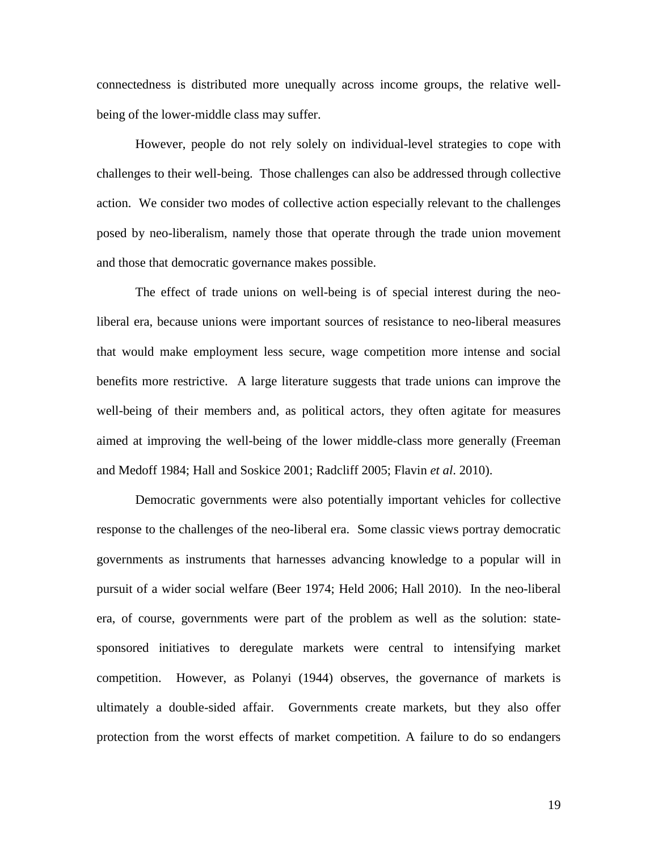connectedness is distributed more unequally across income groups, the relative wellbeing of the lower-middle class may suffer.

However, people do not rely solely on individual-level strategies to cope with challenges to their well-being. Those challenges can also be addressed through collective action. We consider two modes of collective action especially relevant to the challenges posed by neo-liberalism, namely those that operate through the trade union movement and those that democratic governance makes possible.

The effect of trade unions on well-being is of special interest during the neoliberal era, because unions were important sources of resistance to neo-liberal measures that would make employment less secure, wage competition more intense and social benefits more restrictive. A large literature suggests that trade unions can improve the well-being of their members and, as political actors, they often agitate for measures aimed at improving the well-being of the lower middle-class more generally (Freeman and Medoff 1984; Hall and Soskice 2001; Radcliff 2005; Flavin *et al*. 2010).

Democratic governments were also potentially important vehicles for collective response to the challenges of the neo-liberal era. Some classic views portray democratic governments as instruments that harnesses advancing knowledge to a popular will in pursuit of a wider social welfare (Beer 1974; Held 2006; Hall 2010). In the neo-liberal era, of course, governments were part of the problem as well as the solution: statesponsored initiatives to deregulate markets were central to intensifying market competition. However, as Polanyi (1944) observes, the governance of markets is ultimately a double-sided affair. Governments create markets, but they also offer protection from the worst effects of market competition. A failure to do so endangers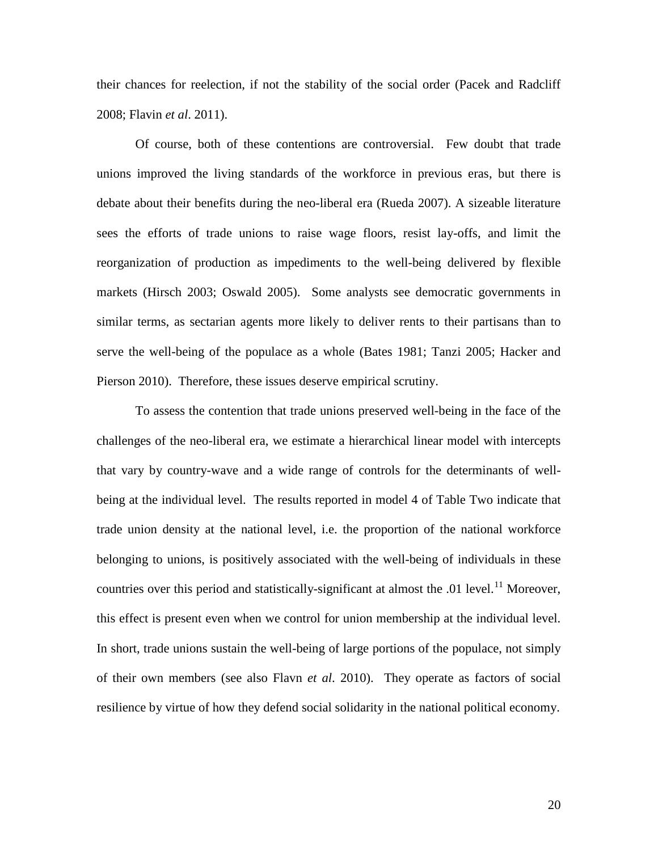their chances for reelection, if not the stability of the social order (Pacek and Radcliff 2008; Flavin *et al*. 2011).

Of course, both of these contentions are controversial. Few doubt that trade unions improved the living standards of the workforce in previous eras, but there is debate about their benefits during the neo-liberal era (Rueda 2007). A sizeable literature sees the efforts of trade unions to raise wage floors, resist lay-offs, and limit the reorganization of production as impediments to the well-being delivered by flexible markets (Hirsch 2003; Oswald 2005). Some analysts see democratic governments in similar terms, as sectarian agents more likely to deliver rents to their partisans than to serve the well-being of the populace as a whole (Bates 1981; Tanzi 2005; Hacker and Pierson 2010). Therefore, these issues deserve empirical scrutiny.

To assess the contention that trade unions preserved well-being in the face of the challenges of the neo-liberal era, we estimate a hierarchical linear model with intercepts that vary by country-wave and a wide range of controls for the determinants of wellbeing at the individual level. The results reported in model 4 of Table Two indicate that trade union density at the national level, i.e. the proportion of the national workforce belonging to unions, is positively associated with the well-being of individuals in these countries over this period and statistically-significant at almost the .01 level.<sup>[11](#page-49-0)</sup> Moreover, this effect is present even when we control for union membership at the individual level. In short, trade unions sustain the well-being of large portions of the populace, not simply of their own members (see also Flavn *et al*. 2010). They operate as factors of social resilience by virtue of how they defend social solidarity in the national political economy.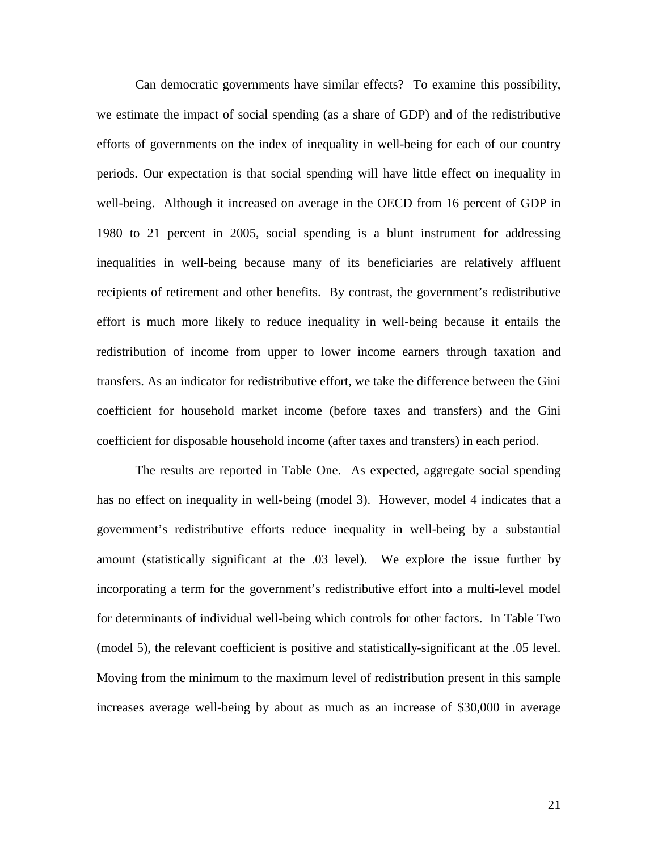Can democratic governments have similar effects? To examine this possibility, we estimate the impact of social spending (as a share of GDP) and of the redistributive efforts of governments on the index of inequality in well-being for each of our country periods. Our expectation is that social spending will have little effect on inequality in well-being. Although it increased on average in the OECD from 16 percent of GDP in 1980 to 21 percent in 2005, social spending is a blunt instrument for addressing inequalities in well-being because many of its beneficiaries are relatively affluent recipients of retirement and other benefits. By contrast, the government's redistributive effort is much more likely to reduce inequality in well-being because it entails the redistribution of income from upper to lower income earners through taxation and transfers. As an indicator for redistributive effort, we take the difference between the Gini coefficient for household market income (before taxes and transfers) and the Gini coefficient for disposable household income (after taxes and transfers) in each period.

The results are reported in Table One. As expected, aggregate social spending has no effect on inequality in well-being (model 3). However, model 4 indicates that a government's redistributive efforts reduce inequality in well-being by a substantial amount (statistically significant at the .03 level). We explore the issue further by incorporating a term for the government's redistributive effort into a multi-level model for determinants of individual well-being which controls for other factors. In Table Two (model 5), the relevant coefficient is positive and statistically-significant at the .05 level. Moving from the minimum to the maximum level of redistribution present in this sample increases average well-being by about as much as an increase of \$30,000 in average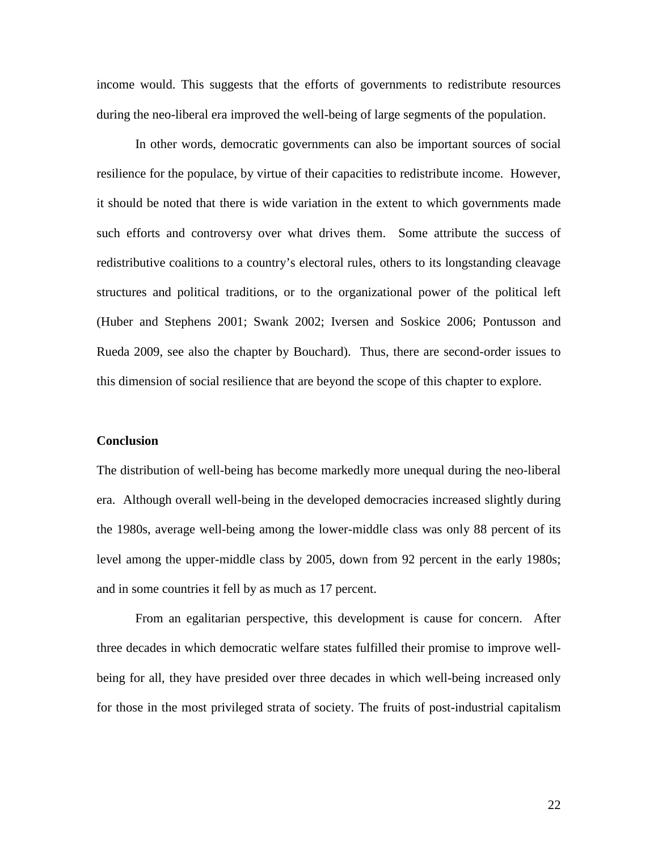income would. This suggests that the efforts of governments to redistribute resources during the neo-liberal era improved the well-being of large segments of the population.

In other words, democratic governments can also be important sources of social resilience for the populace, by virtue of their capacities to redistribute income. However, it should be noted that there is wide variation in the extent to which governments made such efforts and controversy over what drives them. Some attribute the success of redistributive coalitions to a country's electoral rules, others to its longstanding cleavage structures and political traditions, or to the organizational power of the political left (Huber and Stephens 2001; Swank 2002; Iversen and Soskice 2006; Pontusson and Rueda 2009, see also the chapter by Bouchard). Thus, there are second-order issues to this dimension of social resilience that are beyond the scope of this chapter to explore.

# **Conclusion**

The distribution of well-being has become markedly more unequal during the neo-liberal era. Although overall well-being in the developed democracies increased slightly during the 1980s, average well-being among the lower-middle class was only 88 percent of its level among the upper-middle class by 2005, down from 92 percent in the early 1980s; and in some countries it fell by as much as 17 percent.

From an egalitarian perspective, this development is cause for concern. After three decades in which democratic welfare states fulfilled their promise to improve wellbeing for all, they have presided over three decades in which well-being increased only for those in the most privileged strata of society. The fruits of post-industrial capitalism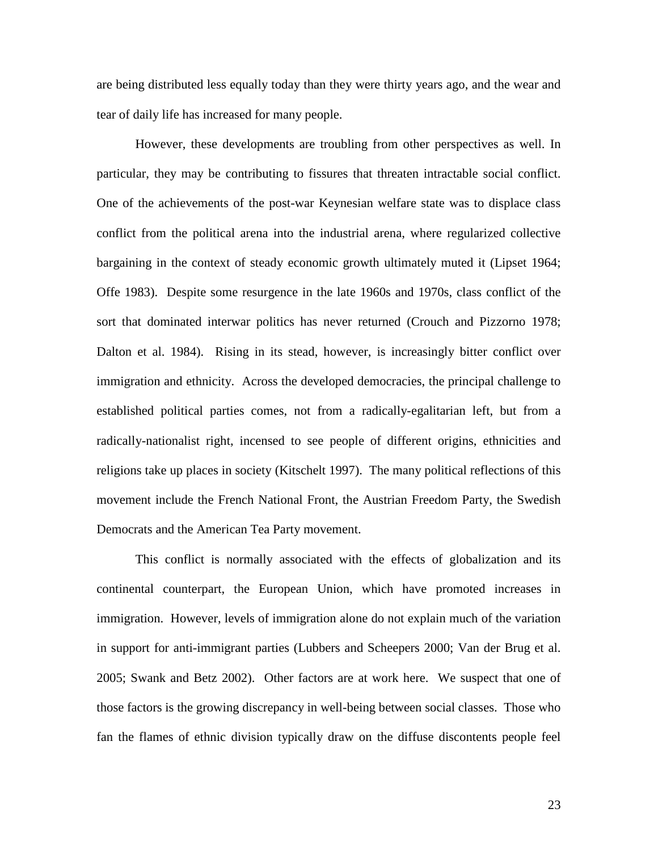are being distributed less equally today than they were thirty years ago, and the wear and tear of daily life has increased for many people.

However, these developments are troubling from other perspectives as well. In particular, they may be contributing to fissures that threaten intractable social conflict. One of the achievements of the post-war Keynesian welfare state was to displace class conflict from the political arena into the industrial arena, where regularized collective bargaining in the context of steady economic growth ultimately muted it (Lipset 1964; Offe 1983). Despite some resurgence in the late 1960s and 1970s, class conflict of the sort that dominated interwar politics has never returned (Crouch and Pizzorno 1978; Dalton et al. 1984). Rising in its stead, however, is increasingly bitter conflict over immigration and ethnicity. Across the developed democracies, the principal challenge to established political parties comes, not from a radically-egalitarian left, but from a radically-nationalist right, incensed to see people of different origins, ethnicities and religions take up places in society (Kitschelt 1997). The many political reflections of this movement include the French National Front, the Austrian Freedom Party, the Swedish Democrats and the American Tea Party movement.

This conflict is normally associated with the effects of globalization and its continental counterpart, the European Union, which have promoted increases in immigration. However, levels of immigration alone do not explain much of the variation in support for anti-immigrant parties (Lubbers and Scheepers 2000; Van der Brug et al. 2005; Swank and Betz 2002). Other factors are at work here. We suspect that one of those factors is the growing discrepancy in well-being between social classes. Those who fan the flames of ethnic division typically draw on the diffuse discontents people feel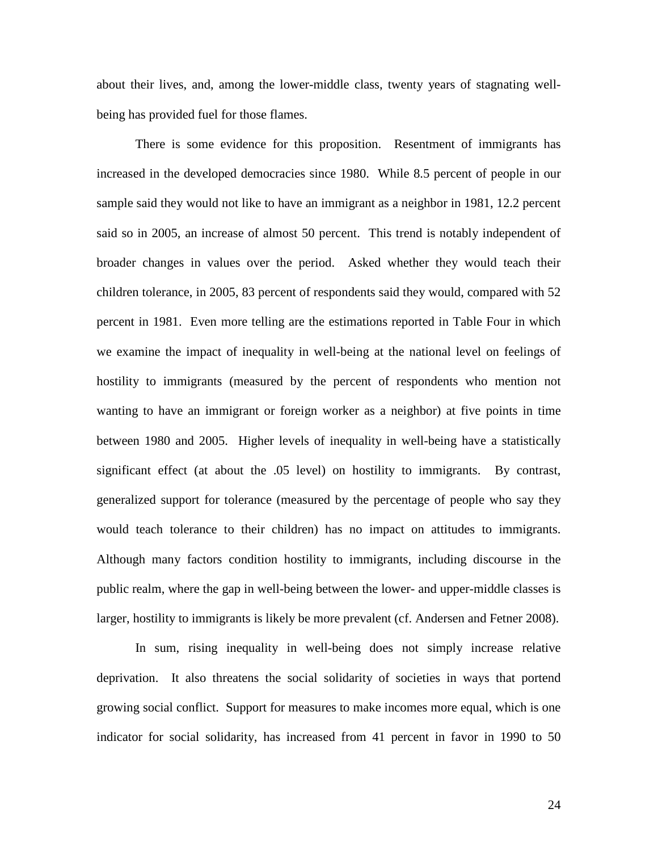about their lives, and, among the lower-middle class, twenty years of stagnating wellbeing has provided fuel for those flames.

There is some evidence for this proposition. Resentment of immigrants has increased in the developed democracies since 1980. While 8.5 percent of people in our sample said they would not like to have an immigrant as a neighbor in 1981, 12.2 percent said so in 2005, an increase of almost 50 percent. This trend is notably independent of broader changes in values over the period. Asked whether they would teach their children tolerance, in 2005, 83 percent of respondents said they would, compared with 52 percent in 1981. Even more telling are the estimations reported in Table Four in which we examine the impact of inequality in well-being at the national level on feelings of hostility to immigrants (measured by the percent of respondents who mention not wanting to have an immigrant or foreign worker as a neighbor) at five points in time between 1980 and 2005. Higher levels of inequality in well-being have a statistically significant effect (at about the .05 level) on hostility to immigrants. By contrast, generalized support for tolerance (measured by the percentage of people who say they would teach tolerance to their children) has no impact on attitudes to immigrants. Although many factors condition hostility to immigrants, including discourse in the public realm, where the gap in well-being between the lower- and upper-middle classes is larger, hostility to immigrants is likely be more prevalent (cf. Andersen and Fetner 2008).

In sum, rising inequality in well-being does not simply increase relative deprivation. It also threatens the social solidarity of societies in ways that portend growing social conflict. Support for measures to make incomes more equal, which is one indicator for social solidarity, has increased from 41 percent in favor in 1990 to 50

24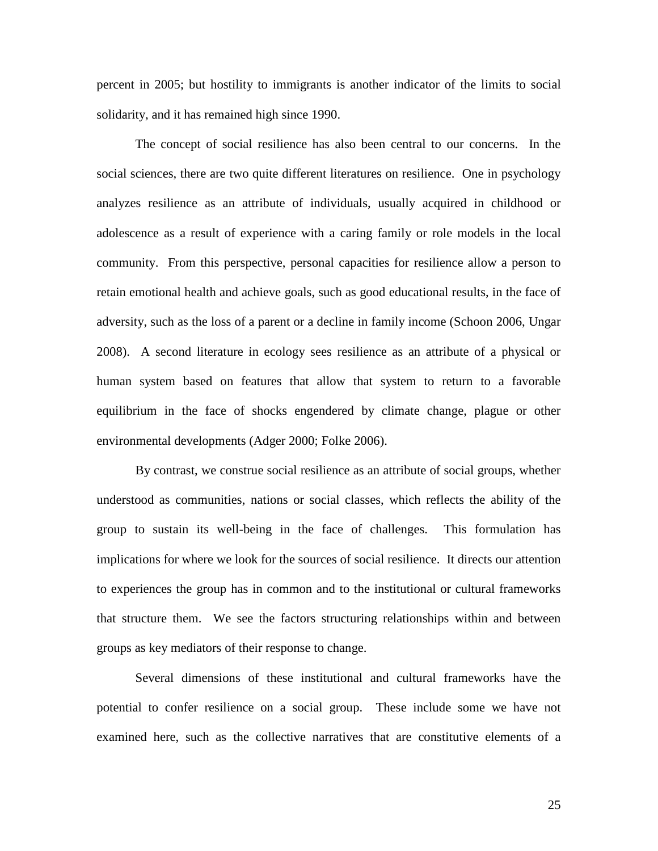percent in 2005; but hostility to immigrants is another indicator of the limits to social solidarity, and it has remained high since 1990.

The concept of social resilience has also been central to our concerns. In the social sciences, there are two quite different literatures on resilience. One in psychology analyzes resilience as an attribute of individuals, usually acquired in childhood or adolescence as a result of experience with a caring family or role models in the local community. From this perspective, personal capacities for resilience allow a person to retain emotional health and achieve goals, such as good educational results, in the face of adversity, such as the loss of a parent or a decline in family income (Schoon 2006, Ungar 2008). A second literature in ecology sees resilience as an attribute of a physical or human system based on features that allow that system to return to a favorable equilibrium in the face of shocks engendered by climate change, plague or other environmental developments (Adger 2000; Folke 2006).

By contrast, we construe social resilience as an attribute of social groups, whether understood as communities, nations or social classes, which reflects the ability of the group to sustain its well-being in the face of challenges. This formulation has implications for where we look for the sources of social resilience. It directs our attention to experiences the group has in common and to the institutional or cultural frameworks that structure them. We see the factors structuring relationships within and between groups as key mediators of their response to change.

Several dimensions of these institutional and cultural frameworks have the potential to confer resilience on a social group. These include some we have not examined here, such as the collective narratives that are constitutive elements of a

25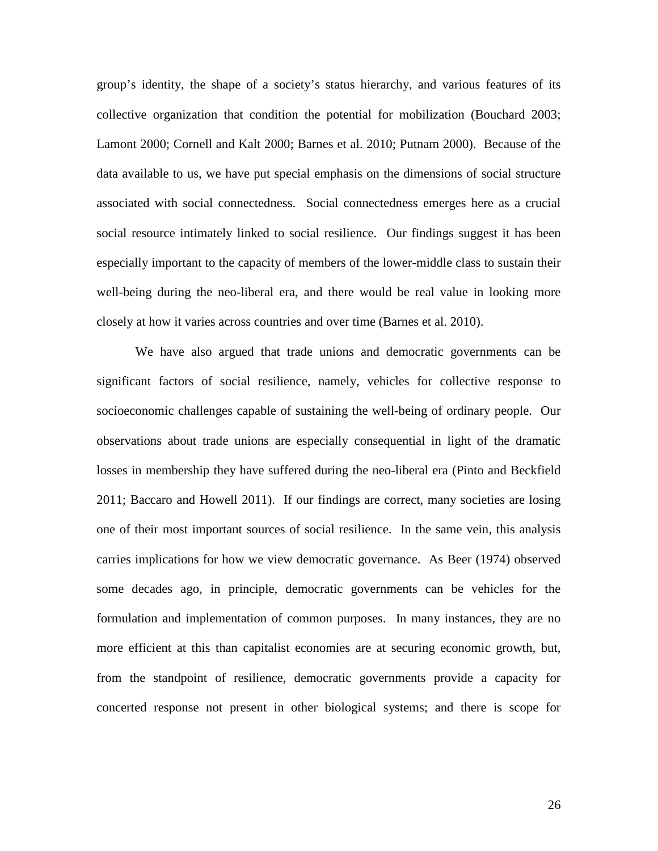group's identity, the shape of a society's status hierarchy, and various features of its collective organization that condition the potential for mobilization (Bouchard 2003; Lamont 2000; Cornell and Kalt 2000; Barnes et al. 2010; Putnam 2000). Because of the data available to us, we have put special emphasis on the dimensions of social structure associated with social connectedness. Social connectedness emerges here as a crucial social resource intimately linked to social resilience. Our findings suggest it has been especially important to the capacity of members of the lower-middle class to sustain their well-being during the neo-liberal era, and there would be real value in looking more closely at how it varies across countries and over time (Barnes et al. 2010).

We have also argued that trade unions and democratic governments can be significant factors of social resilience, namely, vehicles for collective response to socioeconomic challenges capable of sustaining the well-being of ordinary people. Our observations about trade unions are especially consequential in light of the dramatic losses in membership they have suffered during the neo-liberal era (Pinto and Beckfield 2011; Baccaro and Howell 2011). If our findings are correct, many societies are losing one of their most important sources of social resilience. In the same vein, this analysis carries implications for how we view democratic governance. As Beer (1974) observed some decades ago, in principle, democratic governments can be vehicles for the formulation and implementation of common purposes. In many instances, they are no more efficient at this than capitalist economies are at securing economic growth, but, from the standpoint of resilience, democratic governments provide a capacity for concerted response not present in other biological systems; and there is scope for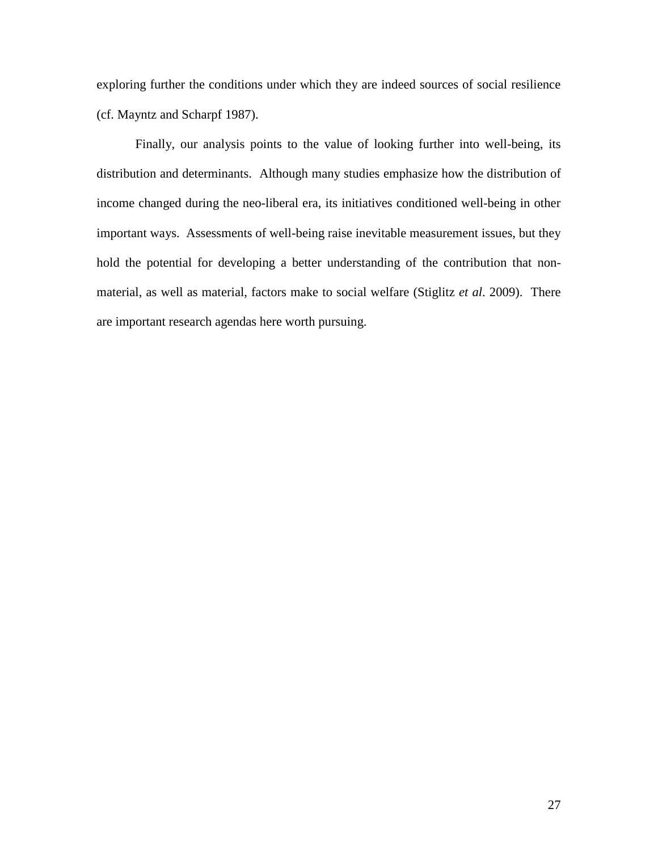exploring further the conditions under which they are indeed sources of social resilience (cf. Mayntz and Scharpf 1987).

Finally, our analysis points to the value of looking further into well-being, its distribution and determinants. Although many studies emphasize how the distribution of income changed during the neo-liberal era, its initiatives conditioned well-being in other important ways. Assessments of well-being raise inevitable measurement issues, but they hold the potential for developing a better understanding of the contribution that nonmaterial, as well as material, factors make to social welfare (Stiglitz *et al*. 2009). There are important research agendas here worth pursuing.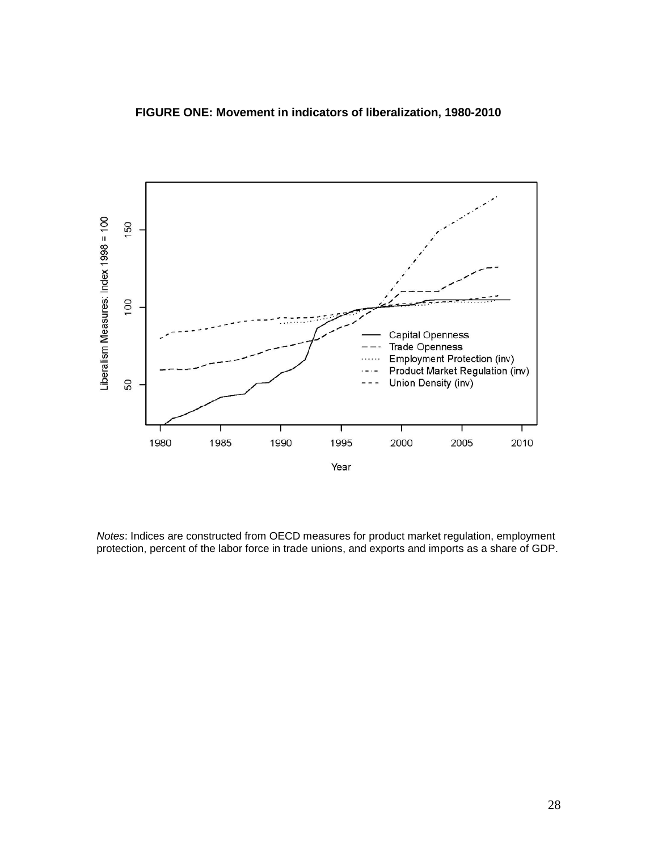**FIGURE ONE: Movement in indicators of liberalization, 1980-2010**



*Notes*: Indices are constructed from OECD measures for product market regulation, employment protection, percent of the labor force in trade unions, and exports and imports as a share of GDP.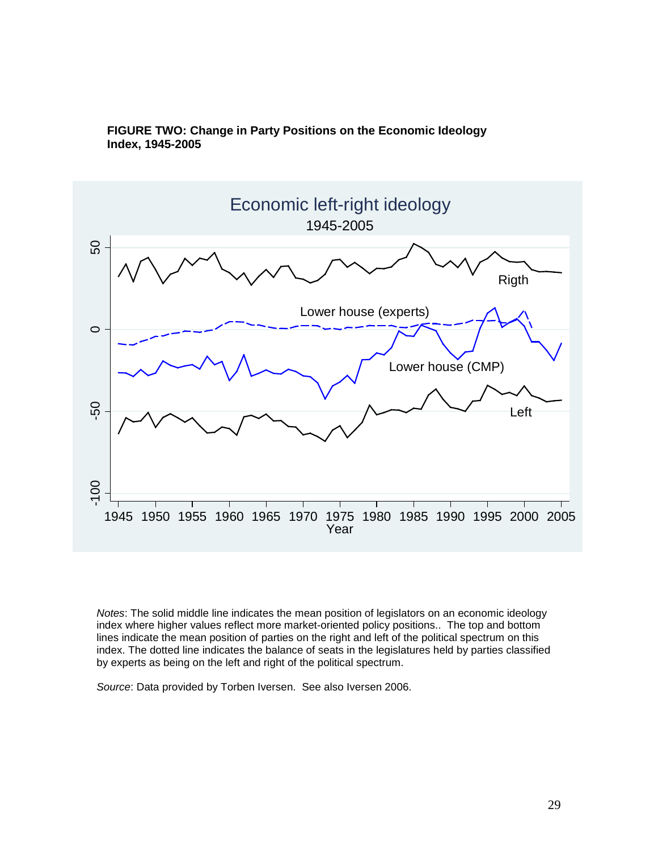

# **FIGURE TWO: Change in Party Positions on the Economic Ideology Index, 1945-2005**

*Notes*: The solid middle line indicates the mean position of legislators on an economic ideology index where higher values reflect more market-oriented policy positions.. The top and bottom lines indicate the mean position of parties on the right and left of the political spectrum on this index. The dotted line indicates the balance of seats in the legislatures held by parties classified by experts as being on the left and right of the political spectrum.

*Source*: Data provided by Torben Iversen. See also Iversen 2006.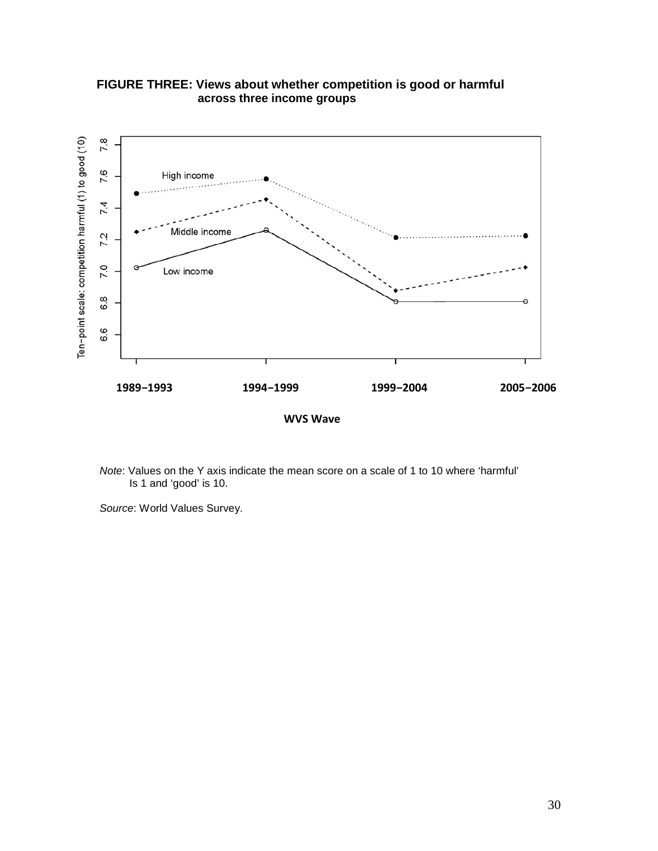

**FIGURE THREE: Views about whether competition is good or harmful across three income groups**

*Note*: Values on the Y axis indicate the mean score on a scale of 1 to 10 where 'harmful' Is 1 and 'good' is 10.

*Source*: World Values Survey.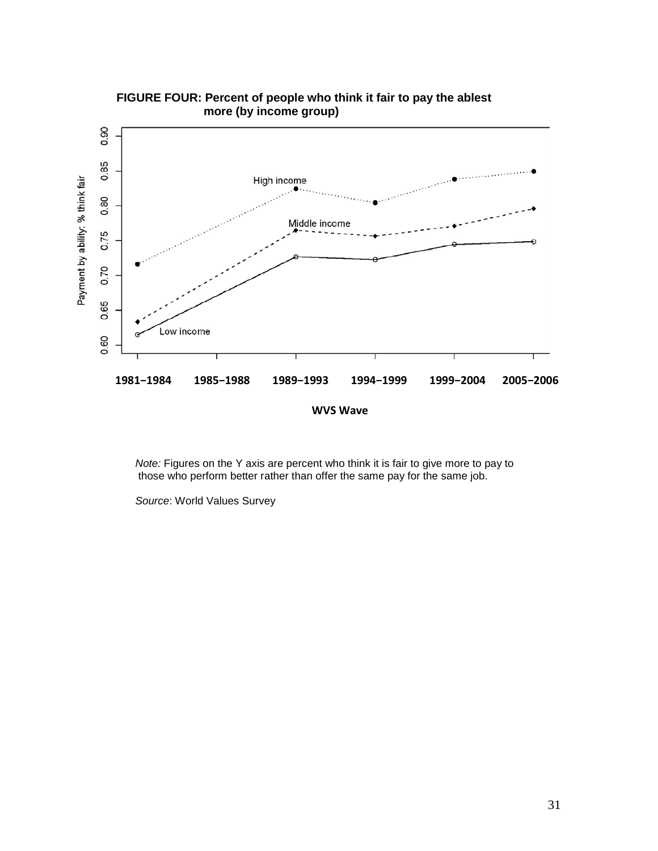



 **WVS Wave**

*Note:* Figures on the Y axis are percent who think it is fair to give more to pay to those who perform better rather than offer the same pay for the same job.

*Source*: World Values Survey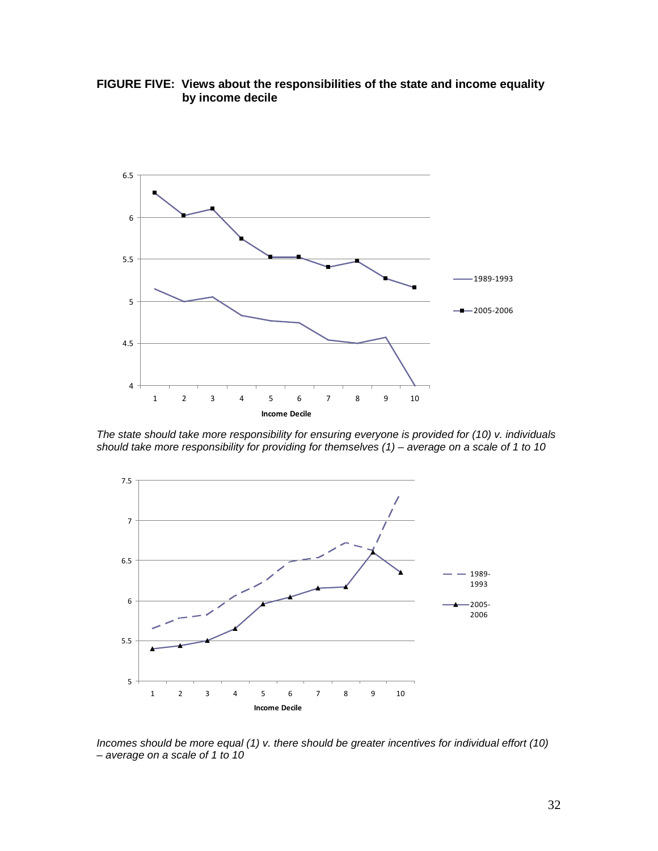**FIGURE FIVE: Views about the responsibilities of the state and income equality by income decile** 



*The state should take more responsibility for ensuring everyone is provided for (10) v. individuals should take more responsibility for providing for themselves (1) – average on a scale of 1 to 10*



*Incomes should be more equal (1) v. there should be greater incentives for individual effort (10) – average on a scale of 1 to 10*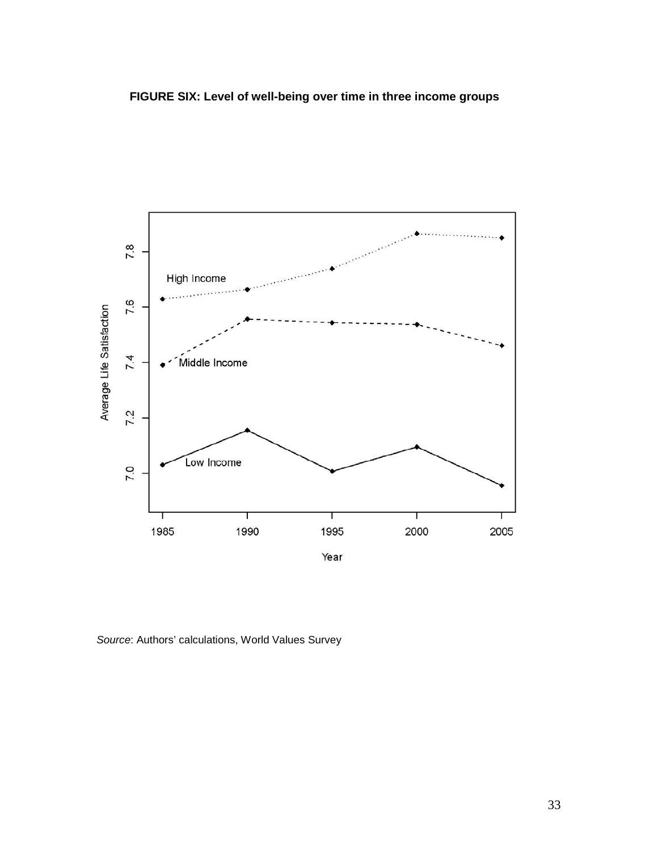



*Source*: Authors' calculations, World Values Survey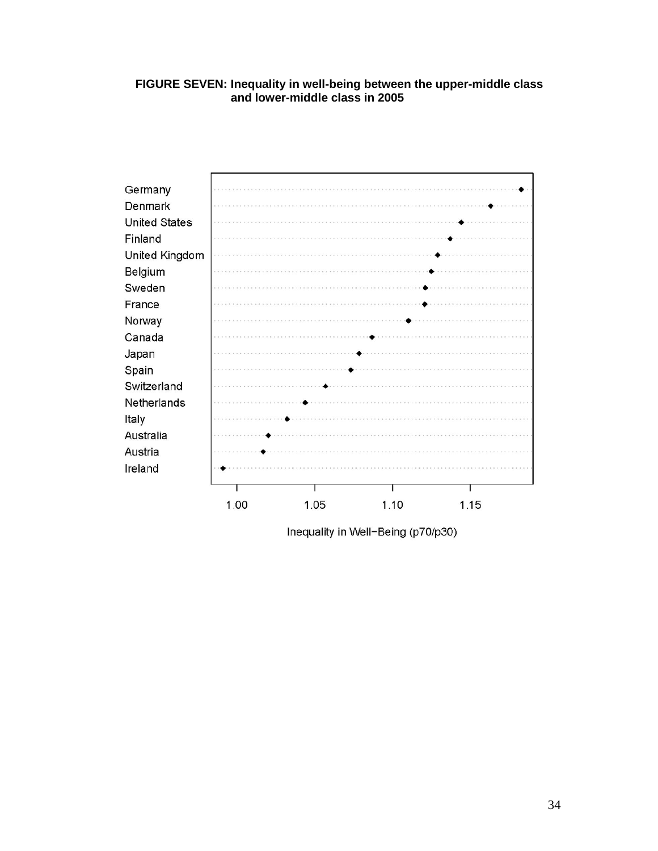# **FIGURE SEVEN: Inequality in well-being between the upper-middle class and lower-middle class in 2005**



Inequality in Well-Being (p70/p30)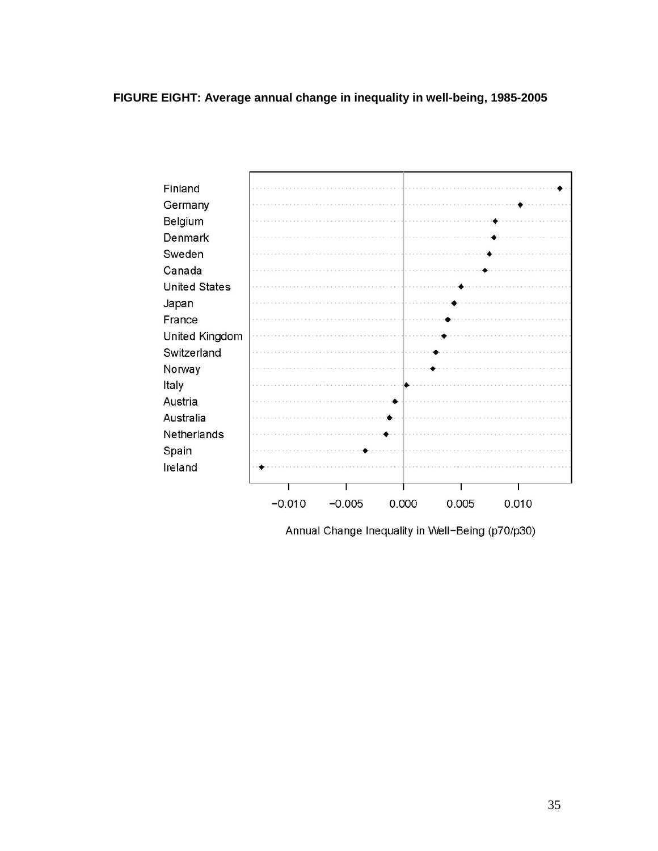**FIGURE EIGHT: Average annual change in inequality in well-being, 1985-2005**

| Finland              |                                                 |
|----------------------|-------------------------------------------------|
| Germany              |                                                 |
| Belgium              |                                                 |
| Denmark              |                                                 |
| Sweden               |                                                 |
| Canada               |                                                 |
| <b>United States</b> |                                                 |
| Japan                |                                                 |
| France               |                                                 |
| United Kingdom       |                                                 |
| Switzerland          |                                                 |
| Norway               |                                                 |
| Italy                |                                                 |
| Austria              |                                                 |
| Australia            |                                                 |
| Netherlands          |                                                 |
| Spain                |                                                 |
| Ireland              |                                                 |
|                      |                                                 |
|                      |                                                 |
|                      | 0.010<br>$-0.010$<br>$-0.005$<br>0.000<br>0.005 |

Annual Change Inequality in Well-Being (p70/p30)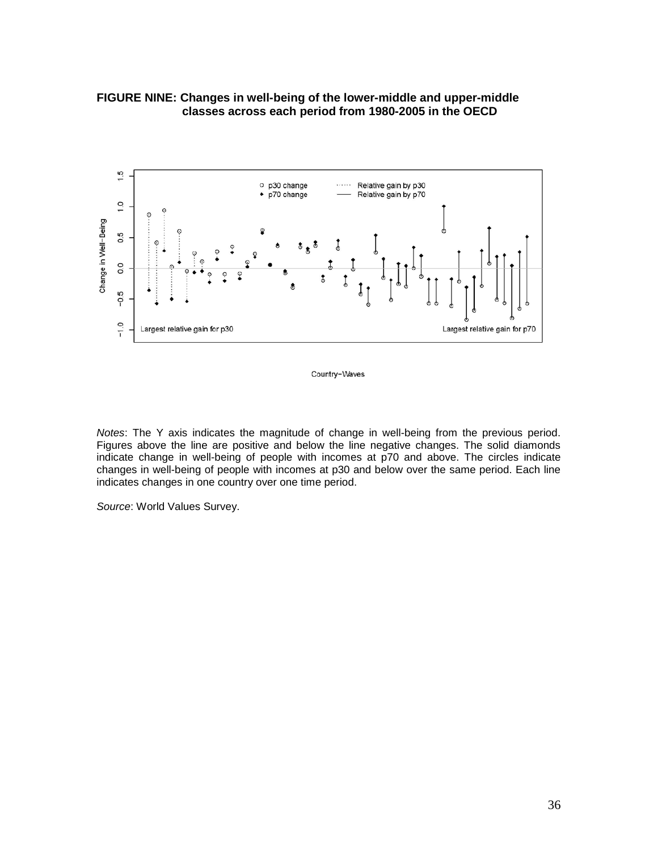![](_page_36_Figure_0.jpeg)

![](_page_36_Figure_1.jpeg)

Country-Waves

*Notes*: The Y axis indicates the magnitude of change in well-being from the previous period. Figures above the line are positive and below the line negative changes. The solid diamonds indicate change in well-being of people with incomes at p70 and above. The circles indicate changes in well-being of people with incomes at p30 and below over the same period. Each line indicates changes in one country over one time period.

*Source*: World Values Survey.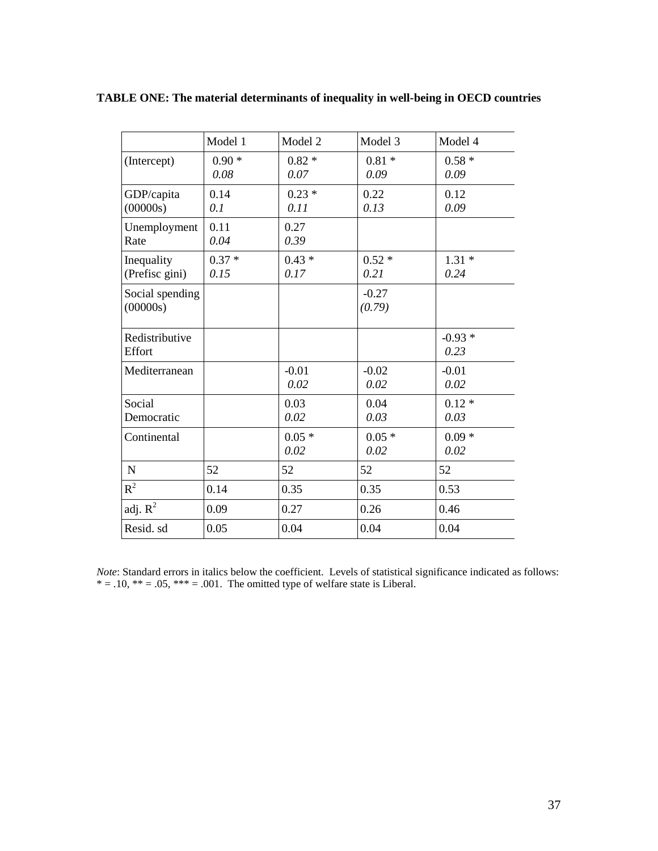|                              | Model 1          | Model 2          | Model 3           | Model 4          |
|------------------------------|------------------|------------------|-------------------|------------------|
| (Intercept)                  | $0.90*$<br>0.08  | $0.82 *$<br>0.07 | $0.81*$<br>0.09   | $0.58*$<br>0.09  |
| GDP/capita<br>(00000s)       | 0.14<br>0.1      | $0.23*$<br>0.11  | 0.22<br>0.13      | 0.12<br>0.09     |
| Unemployment<br>Rate         | 0.11<br>0.04     | 0.27<br>0.39     |                   |                  |
| Inequality<br>(Prefisc gini) | $0.37 *$<br>0.15 | $0.43*$<br>0.17  | $0.52*$<br>0.21   | $1.31*$<br>0.24  |
| Social spending<br>(00000s)  |                  |                  | $-0.27$<br>(0.79) |                  |
| Redistributive<br>Effort     |                  |                  |                   | $-0.93*$<br>0.23 |
| Mediterranean                |                  | $-0.01$<br>0.02  | $-0.02$<br>0.02   | $-0.01$<br>0.02  |
| Social<br>Democratic         |                  | 0.03<br>0.02     | 0.04<br>0.03      | $0.12*$<br>0.03  |
| Continental                  |                  | $0.05*$<br>0.02  | $0.05*$<br>0.02   | $0.09*$<br>0.02  |
| ${\bf N}$                    | 52               | 52               | 52                | 52               |
| $R^2$                        | 0.14             | 0.35             | 0.35              | 0.53             |
| adj. $R^2$                   | 0.09             | 0.27             | 0.26              | 0.46             |
| Resid. sd                    | 0.05             | 0.04             | 0.04              | 0.04             |

**TABLE ONE: The material determinants of inequality in well-being in OECD countries**

*Note*: Standard errors in italics below the coefficient. Levels of statistical significance indicated as follows:  $* = .10, ** = .05, ** = .001$ . The omitted type of welfare state is Liberal.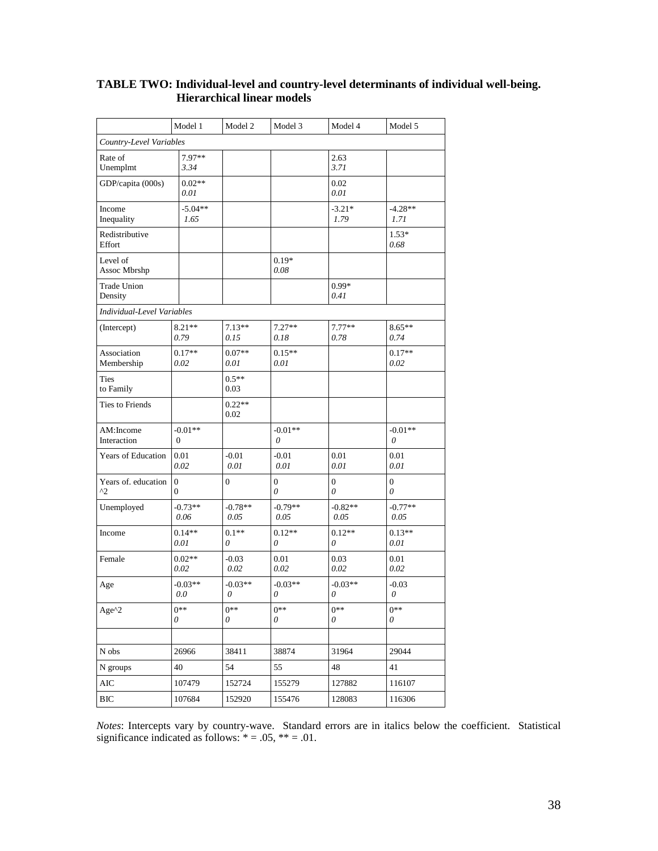|                                           | Model 1                          | Model 2               | Model 3                      | Model 4               | Model 5                  |
|-------------------------------------------|----------------------------------|-----------------------|------------------------------|-----------------------|--------------------------|
| Country-Level Variables                   |                                  |                       |                              |                       |                          |
| Rate of<br>Unemplmt                       | 7.97**<br>3.34                   |                       |                              | 2.63<br>3.71          |                          |
| GDP/capita (000s)                         | $0.02**$<br>0.01                 |                       |                              | 0.02<br>0.01          |                          |
| Income<br>Inequality                      | $-5.04**$<br>1.65                |                       |                              | $-3.21*$<br>1.79      | $-4.28**$<br>1.71        |
| Redistributive<br>Effort                  |                                  |                       |                              |                       | $1.53*$<br>0.68          |
| Level of<br>Assoc Mbrshp                  |                                  |                       | $0.19*$<br>0.08              |                       |                          |
| <b>Trade Union</b><br>Density             |                                  |                       |                              | $0.99*$<br>0.41       |                          |
| Individual-Level Variables                |                                  |                       |                              |                       |                          |
| (Intercept)                               | $8.21**$<br>0.79                 | $7.13**$<br>0.15      | $7.27**$<br>0.18             | $7.77**$<br>0.78      | $8.65**$<br>0.74         |
| Association<br>Membership                 | $0.17**$<br>0.02                 | $0.07**$<br>0.01      | $0.15**$<br>0.01             |                       | $0.17**$<br>0.02         |
| <b>Ties</b><br>to Family                  |                                  | $0.5**$<br>0.03       |                              |                       |                          |
| Ties to Friends                           |                                  | $0.22**$<br>0.02      |                              |                       |                          |
| AM: Income<br>Interaction                 | $-0.01**$<br>$\overline{0}$      |                       | $-0.01**$<br>$\theta$        |                       | $-0.01**$<br>0           |
| <b>Years of Education</b>                 | 0.01<br>0.02                     | $-0.01$<br>0.01       | $-0.01$<br>0.01              | 0.01<br>0.01          | 0.01<br>0.01             |
| Years of. education<br>$^{\prime\prime}2$ | $\boldsymbol{0}$<br>$\mathbf{0}$ | $\boldsymbol{0}$      | $\boldsymbol{0}$<br>$\theta$ | $\boldsymbol{0}$<br>0 | $\mathbf{0}$<br>$\theta$ |
| Unemployed                                | $-0.73**$<br>0.06                | $-0.78**$<br>0.05     | $-0.79**$<br>0.05            | $-0.82**$<br>0.05     | $-0.77**$<br>0.05        |
| Income                                    | $0.14**$<br>0.01                 | $0.1**$<br>0          | $0.12**$<br>$\theta$         | $0.12**$<br>0         | $0.13**$<br>0.01         |
| Female                                    | $0.02**$<br>0.02                 | $-0.03$<br>0.02       | 0.01<br>0.02                 | 0.03<br>0.02          | 0.01<br>0.02             |
| Age                                       | $-0.03**$<br>0.0                 | $-0.03**$<br>$\theta$ | $-0.03**$<br>$\theta$        | $-0.03**$<br>0        | $-0.03$<br>$\theta$      |
| Age^2                                     | $0**$<br>0                       | $0**$<br>0            | $0**$<br>0                   | $0**$<br>0            | $0**$<br>0               |
|                                           |                                  |                       |                              |                       |                          |
| N obs                                     | 26966                            | 38411                 | 38874                        | 31964                 | 29044                    |
| N groups                                  | 40                               | 54                    | 55                           | 48                    | 41                       |
| $\rm AIC$                                 | 107479                           | 152724                | 155279                       | 127882                | 116107                   |
| <b>BIC</b>                                | 107684                           | 152920                | 155476                       | 128083                | 116306                   |

# **TABLE TWO: Individual-level and country-level determinants of individual well-being. Hierarchical linear models**

*Notes*: Intercepts vary by country-wave. Standard errors are in italics below the coefficient. Statistical significance indicated as follows:  $* = .05, ** = .01$ .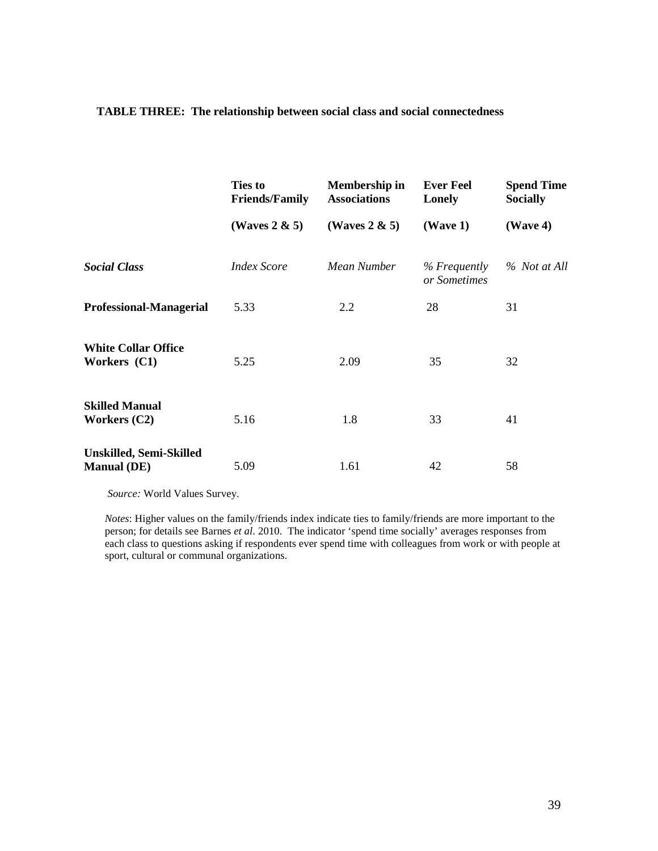#### **TABLE THREE: The relationship between social class and social connectedness**

|                                                      | <b>Ties to</b><br><b>Friends/Family</b> | <b>Membership in</b><br><b>Associations</b> | <b>Ever Feel</b><br>Lonely   | <b>Spend Time</b><br><b>Socially</b> |
|------------------------------------------------------|-----------------------------------------|---------------------------------------------|------------------------------|--------------------------------------|
|                                                      | (Waves $2 \& 5$ )                       | (Waves $2 \& 5$ )                           | (Wave 1)                     | (Wave 4)                             |
| <b>Social Class</b>                                  | <b>Index Score</b>                      | Mean Number                                 | % Frequently<br>or Sometimes | % Not at All                         |
| <b>Professional-Managerial</b>                       | 5.33                                    | 2.2                                         | 28                           | 31                                   |
| <b>White Collar Office</b><br>Workers (C1)           | 5.25                                    | 2.09                                        | 35                           | 32                                   |
| <b>Skilled Manual</b><br>Workers (C2)                | 5.16                                    | 1.8                                         | 33                           | 41                                   |
| <b>Unskilled, Semi-Skilled</b><br><b>Manual</b> (DE) | 5.09                                    | 1.61                                        | 42                           | 58                                   |

 *Source:* World Values Survey.

 *Notes*: Higher values on the family/friends index indicate ties to family/friends are more important to the person; for details see Barnes *et al*. 2010. The indicator 'spend time socially' averages responses from each class to questions asking if respondents ever spend time with colleagues from work or with people at sport, cultural or communal organizations.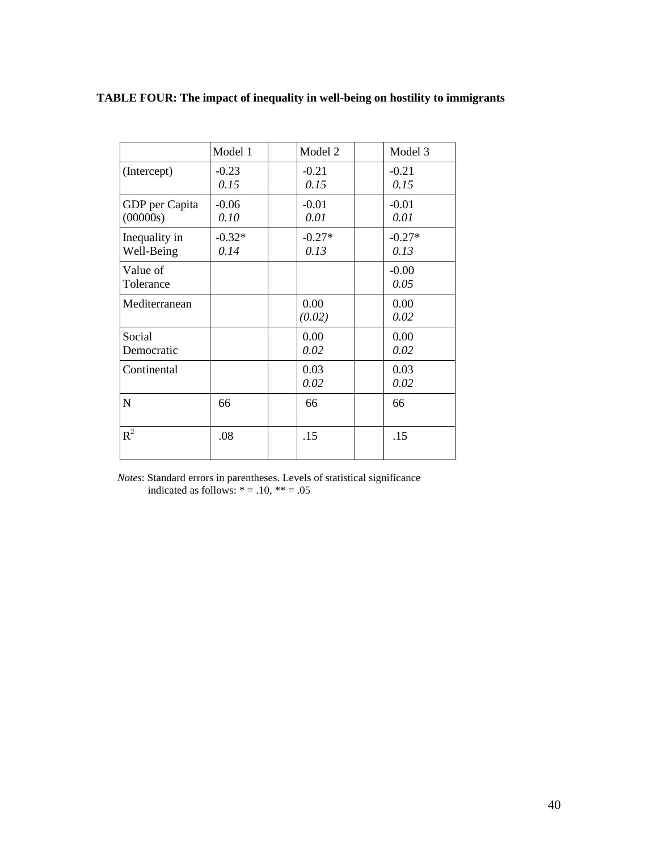# **TABLE FOUR: The impact of inequality in well-being on hostility to immigrants**

|                             | Model 1          | Model 2          | Model 3          |
|-----------------------------|------------------|------------------|------------------|
| (Intercept)                 | $-0.23$<br>0.15  | $-0.21$<br>0.15  | $-0.21$<br>0.15  |
| GDP per Capita<br>(00000s)  | $-0.06$<br>0.10  | $-0.01$<br>0.01  | $-0.01$<br>0.01  |
| Inequality in<br>Well-Being | $-0.32*$<br>0.14 | $-0.27*$<br>0.13 | $-0.27*$<br>0.13 |
| Value of<br>Tolerance       |                  |                  | $-0.00$<br>0.05  |
| Mediterranean               |                  | 0.00<br>(0.02)   | 0.00<br>0.02     |
| Social<br>Democratic        |                  | 0.00<br>0.02     | 0.00<br>0.02     |
| Continental                 |                  | 0.03<br>0.02     | 0.03<br>0.02     |
| $\mathbf N$                 | 66               | 66               | 66               |
| $R^2$                       | .08              | .15              | .15              |

 *Notes*: Standard errors in parentheses. Levels of statistical significance indicated as follows:  $* = .10, ** = .05$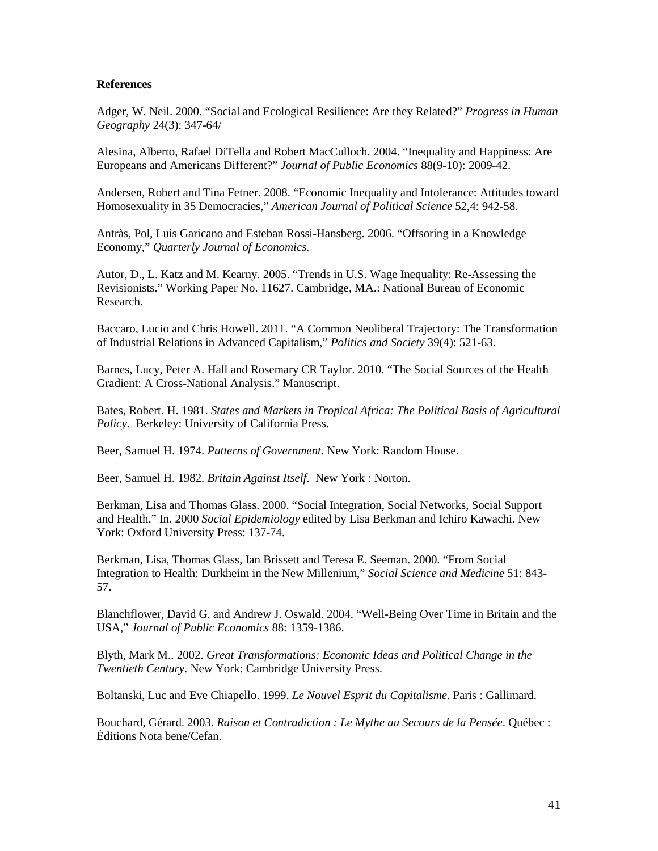#### **References**

Adger, W. Neil. 2000. "Social and Ecological Resilience: Are they Related?" *Progress in Human Geography* 24(3): 347-64/

Alesina, Alberto, Rafael DiTella and Robert MacCulloch. 2004. "Inequality and Happiness: Are Europeans and Americans Different?" *Journal of Public Economics* 88(9-10): 2009-42.

Andersen, Robert and Tina Fetner. 2008. "Economic Inequality and Intolerance: Attitudes toward Homosexuality in 35 Democracies," *American Journal of Political Science* 52,4: 942-58.

Antràs, Pol, Luis Garicano and Esteban Rossi-Hansberg. 2006. "Offsoring in a Knowledge Economy," *Quarterly Journal of Economics*.

Autor, D., L. Katz and M. Kearny. 2005. "Trends in U.S. Wage Inequality: Re-Assessing the Revisionists." Working Paper No. 11627. Cambridge, MA.: National Bureau of Economic Research.

Baccaro, Lucio and Chris Howell. 2011. "A Common Neoliberal Trajectory: The Transformation of Industrial Relations in Advanced Capitalism," *Politics and Society* 39(4): 521-63.

Barnes, Lucy, Peter A. Hall and Rosemary CR Taylor. 2010. "The Social Sources of the Health Gradient: A Cross-National Analysis." Manuscript.

Bates, Robert. H. 1981. *States and Markets in Tropical Africa: The Political Basis of Agricultural Policy*. Berkeley: University of California Press.

Beer, Samuel H. 1974. *Patterns of Government*. New York: Random House.

Beer, Samuel H. 1982. *Britain Against Itself*. New York : Norton.

Berkman, Lisa and Thomas Glass. 2000. "Social Integration, Social Networks, Social Support and Health." In. 2000 *Social Epidemiology* edited by Lisa Berkman and Ichiro Kawachi. New York: Oxford University Press: 137-74.

Berkman, Lisa, Thomas Glass, Ian Brissett and Teresa E. Seeman. 2000. "From Social Integration to Health: Durkheim in the New Millenium," *Social Science and Medicine* 51: 843- 57.

Blanchflower, David G. and Andrew J. Oswald. 2004. "Well-Being Over Time in Britain and the USA," *Journal of Public Economics* 88: 1359-1386.

Blyth, Mark M.. 2002. *Great Transformations: Economic Ideas and Political Change in the Twentieth Century*. New York: Cambridge University Press.

Boltanski, Luc and Eve Chiapello. 1999. *Le Nouvel Esprit du Capitalisme*. Paris : Gallimard.

Bouchard, Gérard. 2003. *Raison et Contradiction : Le Mythe au Secours de la Pensée*. Québec : Éditions Nota bene/Cefan.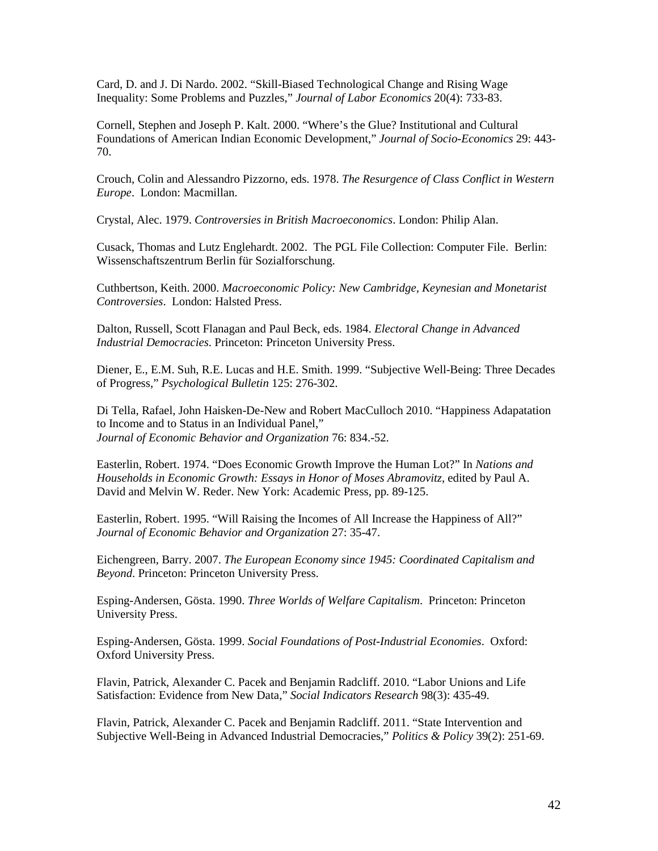Card, D. and J. Di Nardo. 2002. "Skill-Biased Technological Change and Rising Wage Inequality: Some Problems and Puzzles," *Journal of Labor Economics* 20(4): 733-83.

Cornell, Stephen and Joseph P. Kalt. 2000. "Where's the Glue? Institutional and Cultural Foundations of American Indian Economic Development," *Journal of Socio-Economics* 29: 443- 70.

Crouch, Colin and Alessandro Pizzorno, eds. 1978. *The Resurgence of Class Conflict in Western Europe*. London: Macmillan.

Crystal, Alec. 1979. *Controversies in British Macroeconomics*. London: Philip Alan.

Cusack, Thomas and Lutz Englehardt. 2002. The PGL File Collection: Computer File. Berlin: Wissenschaftszentrum Berlin für Sozialforschung.

Cuthbertson, Keith. 2000. *Macroeconomic Policy: New Cambridge, Keynesian and Monetarist Controversies*. London: Halsted Press.

Dalton, Russell, Scott Flanagan and Paul Beck, eds. 1984. *Electoral Change in Advanced Industrial Democracies*. Princeton: Princeton University Press.

Diener, E., E.M. Suh, R.E. Lucas and H.E. Smith. 1999. "Subjective Well-Being: Three Decades of Progress," *Psychological Bulletin* 125: 276-302.

Di Tella, Rafael, John Haisken-De-New and Robert MacCulloch 2010. "Happiness Adapatation to Income and to Status in an Individual Panel," *Journal of Economic Behavior and Organization* 76: 834.-52.

Easterlin, Robert. 1974. "Does Economic Growth Improve the Human Lot?" In *Nations and Households in Economic Growth: Essays in Honor of Moses Abramovitz*, edited by Paul A. David and Melvin W. Reder. New York: Academic Press, pp. 89-125.

Easterlin, Robert. 1995. "Will Raising the Incomes of All Increase the Happiness of All?" *Journal of Economic Behavior and Organization* 27: 35-47.

Eichengreen, Barry. 2007. *The European Economy since 1945: Coordinated Capitalism and Beyond*. Princeton: Princeton University Press.

Esping-Andersen, Gösta. 1990. *Three Worlds of Welfare Capitalism*. Princeton: Princeton University Press.

Esping-Andersen, Gösta. 1999. *Social Foundations of Post-Industrial Economies*. Oxford: Oxford University Press.

Flavin, Patrick, Alexander C. Pacek and Benjamin Radcliff. 2010. "Labor Unions and Life Satisfaction: Evidence from New Data," *Social Indicators Research* 98(3): 435-49.

Flavin, Patrick, Alexander C. Pacek and Benjamin Radcliff. 2011. "State Intervention and Subjective Well-Being in Advanced Industrial Democracies," *Politics & Policy* 39(2): 251-69.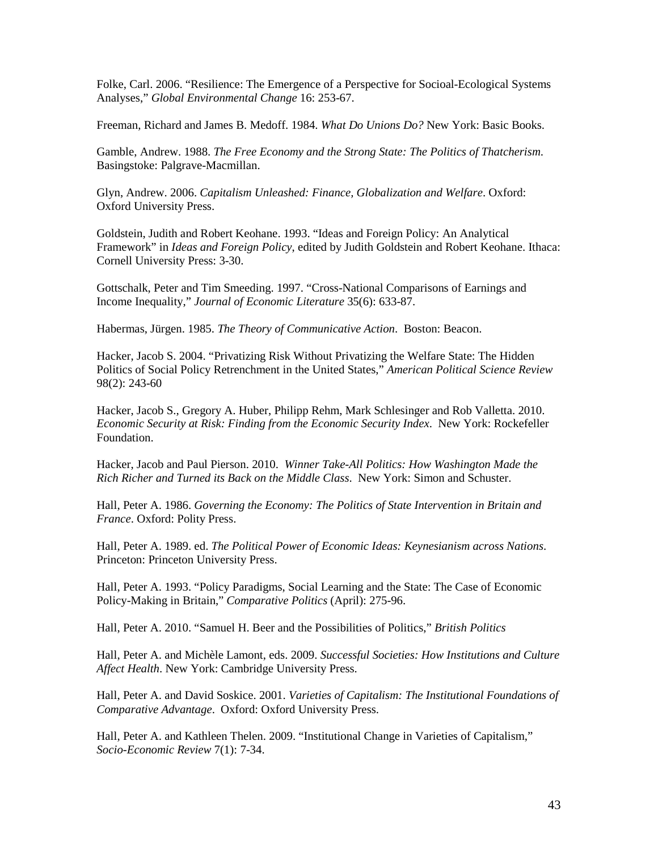Folke, Carl. 2006. "Resilience: The Emergence of a Perspective for Socioal-Ecological Systems Analyses," *Global Environmental Change* 16: 253-67.

Freeman, Richard and James B. Medoff. 1984. *What Do Unions Do?* New York: Basic Books.

Gamble, Andrew. 1988. *The Free Economy and the Strong State: The Politics of Thatcherism*. Basingstoke: Palgrave-Macmillan.

Glyn, Andrew. 2006. *Capitalism Unleashed: Finance, Globalization and Welfare*. Oxford: Oxford University Press.

Goldstein, Judith and Robert Keohane. 1993. "Ideas and Foreign Policy: An Analytical Framework" in *Ideas and Foreign Policy*, edited by Judith Goldstein and Robert Keohane. Ithaca: Cornell University Press: 3-30.

Gottschalk, Peter and Tim Smeeding. 1997. "Cross-National Comparisons of Earnings and Income Inequality," *Journal of Economic Literature* 35(6): 633-87.

Habermas, Jürgen. 1985. *The Theory of Communicative Action*. Boston: Beacon.

Hacker, Jacob S. 2004. "Privatizing Risk Without Privatizing the Welfare State: The Hidden Politics of Social Policy Retrenchment in the United States," *American Political Science Review* 98(2): 243-60

Hacker, Jacob S., Gregory A. Huber, Philipp Rehm, Mark Schlesinger and Rob Valletta. 2010. *Economic Security at Risk: Finding from the Economic Security Index*. New York: Rockefeller Foundation.

Hacker, Jacob and Paul Pierson. 2010. *Winner Take-All Politics: How Washington Made the Rich Richer and Turned its Back on the Middle Class*. New York: Simon and Schuster.

Hall, Peter A. 1986. *Governing the Economy: The Politics of State Intervention in Britain and France*. Oxford: Polity Press.

Hall, Peter A. 1989. ed. *The Political Power of Economic Ideas: Keynesianism across Nations*. Princeton: Princeton University Press.

Hall, Peter A. 1993. "Policy Paradigms, Social Learning and the State: The Case of Economic Policy-Making in Britain," *Comparative Politics* (April): 275-96.

Hall, Peter A. 2010. "Samuel H. Beer and the Possibilities of Politics," *British Politics*

Hall, Peter A. and Michèle Lamont, eds. 2009. *Successful Societies: How Institutions and Culture Affect Health*. New York: Cambridge University Press.

Hall, Peter A. and David Soskice. 2001. *Varieties of Capitalism: The Institutional Foundations of Comparative Advantage*. Oxford: Oxford University Press.

Hall, Peter A. and Kathleen Thelen. 2009. "Institutional Change in Varieties of Capitalism," *Socio-Economic Review* 7(1): 7-34.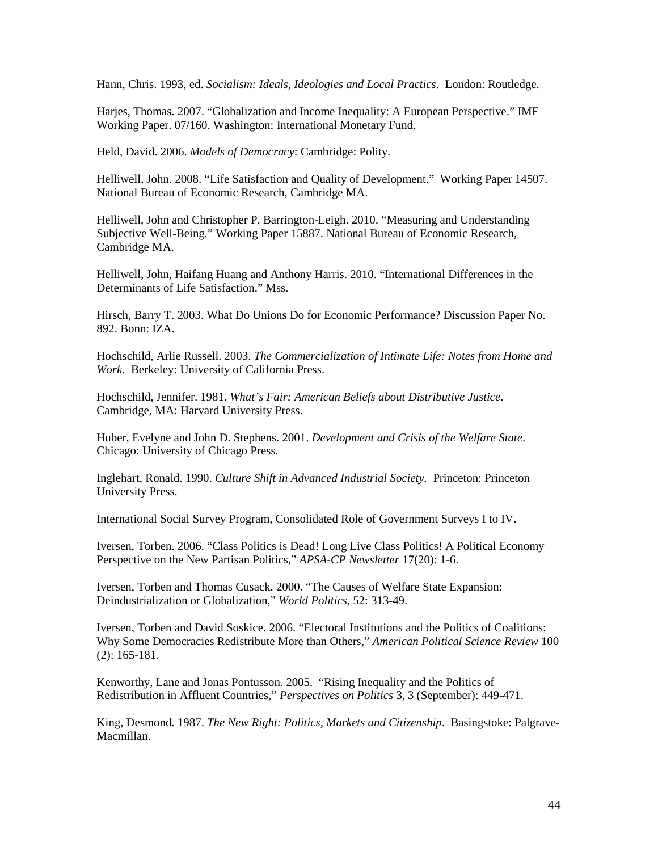Hann, Chris. 1993, ed. *Socialism: Ideals, Ideologies and Local Practics*. London: Routledge.

Harjes, Thomas. 2007. "Globalization and Income Inequality: A European Perspective." IMF Working Paper. 07/160. Washington: International Monetary Fund.

Held, David. 2006. *Models of Democracy*: Cambridge: Polity.

Helliwell, John. 2008. "Life Satisfaction and Quality of Development." Working Paper 14507. National Bureau of Economic Research, Cambridge MA.

Helliwell, John and Christopher P. Barrington-Leigh. 2010. "Measuring and Understanding Subjective Well-Being." Working Paper 15887. National Bureau of Economic Research, Cambridge MA.

Helliwell, John, Haifang Huang and Anthony Harris. 2010. "International Differences in the Determinants of Life Satisfaction." Mss.

Hirsch, Barry T. 2003. What Do Unions Do for Economic Performance? Discussion Paper No. 892. Bonn: IZA.

Hochschild, Arlie Russell. 2003. *The Commercialization of Intimate Life: Notes from Home and Work*. Berkeley: University of California Press.

Hochschild, Jennifer. 1981. *What's Fair: American Beliefs about Distributive Justice*. Cambridge, MA: Harvard University Press.

Huber, Evelyne and John D. Stephens. 2001. *Development and Crisis of the Welfare State*. Chicago: University of Chicago Press.

Inglehart, Ronald. 1990. *Culture Shift in Advanced Industrial Society.* Princeton: Princeton University Press.

International Social Survey Program, Consolidated Role of Government Surveys I to IV.

Iversen, Torben. 2006. "Class Politics is Dead! Long Live Class Politics! A Political Economy Perspective on the New Partisan Politics," *APSA-CP Newsletter* 17(20): 1-6.

Iversen, Torben and Thomas Cusack. 2000. "The Causes of Welfare State Expansion: Deindustrialization or Globalization," *World Politics*, 52: 313-49.

Iversen, Torben and David Soskice. 2006. "Electoral Institutions and the Politics of Coalitions: Why Some Democracies Redistribute More than Others," *American Political Science Review* 100 (2): 165-181.

Kenworthy, Lane and Jonas Pontusson. 2005. "Rising Inequality and the Politics of Redistribution in Affluent Countries," *Perspectives on Politics* 3, 3 (September): 449-471.

King, Desmond. 1987. *The New Right: Politics, Markets and Citizenship*. Basingstoke: Palgrave-Macmillan.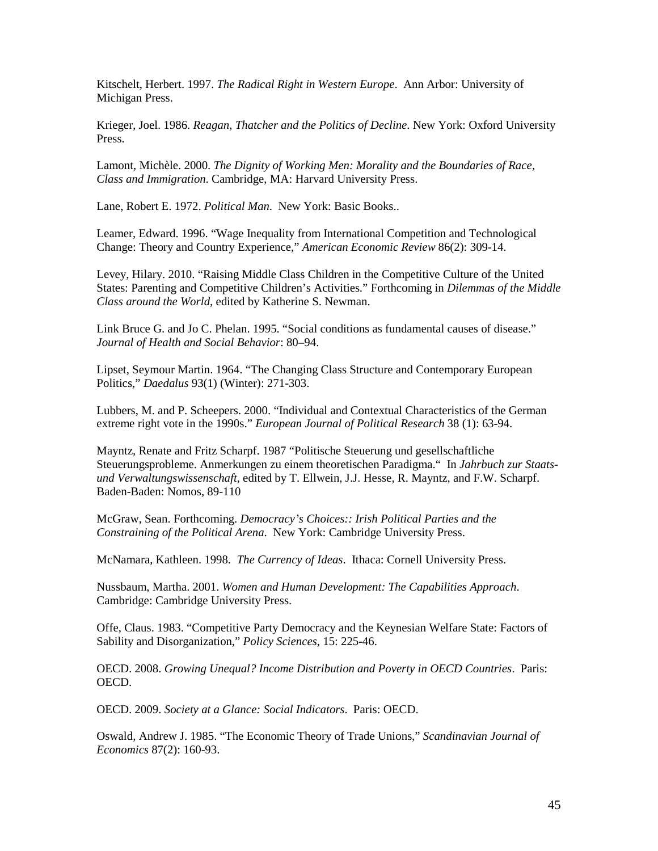Kitschelt, Herbert. 1997. *The Radical Right in Western Europe*. Ann Arbor: University of Michigan Press.

Krieger, Joel. 1986. *Reagan, Thatcher and the Politics of Decline*. New York: Oxford University Press.

Lamont, Michèle. 2000. *The Dignity of Working Men: Morality and the Boundaries of Race, Class and Immigration*. Cambridge, MA: Harvard University Press.

Lane, Robert E. 1972. *Political Man*. New York: Basic Books..

Leamer, Edward. 1996. "Wage Inequality from International Competition and Technological Change: Theory and Country Experience," *American Economic Review* 86(2): 309-14.

Levey, Hilary. 2010. "Raising Middle Class Children in the Competitive Culture of the United States: Parenting and Competitive Children's Activities." Forthcoming in *Dilemmas of the Middle Class around the World*, edited by Katherine S. Newman.

Link Bruce G. and Jo C. Phelan. 1995. "Social conditions as fundamental causes of disease." *Journal of Health and Social Behavior*: 80–94.

Lipset, Seymour Martin. 1964. "The Changing Class Structure and Contemporary European Politics," *Daedalus* 93(1) (Winter): 271-303.

Lubbers, M. and P. Scheepers. 2000. "Individual and Contextual Characteristics of the German extreme right vote in the 1990s." *European Journal of Political Research* 38 (1): 63-94.

Mayntz, Renate and Fritz Scharpf. 1987 "Politische Steuerung und gesellschaftliche Steuerungsprobleme. Anmerkungen zu einem theoretischen Paradigma." In *Jahrbuch zur Staatsund Verwaltungswissenschaft*, edited by T. Ellwein, J.J. Hesse, R. Mayntz, and F.W. Scharpf. Baden-Baden: Nomos, 89-110

McGraw, Sean. Forthcoming. *Democracy's Choices:: Irish Political Parties and the Constraining of the Political Arena*. New York: Cambridge University Press.

McNamara, Kathleen. 1998. *The Currency of Ideas*. Ithaca: Cornell University Press.

Nussbaum, Martha. 2001. *Women and Human Development: The Capabilities Approach*. Cambridge: Cambridge University Press.

Offe, Claus. 1983. "Competitive Party Democracy and the Keynesian Welfare State: Factors of Sability and Disorganization," *Policy Sciences*, 15: 225-46.

OECD. 2008. *Growing Unequal? Income Distribution and Poverty in OECD Countries*. Paris: OECD.

OECD. 2009. *Society at a Glance: Social Indicators*. Paris: OECD.

Oswald, Andrew J. 1985. "The Economic Theory of Trade Unions," *Scandinavian Journal of Economics* 87(2): 160-93.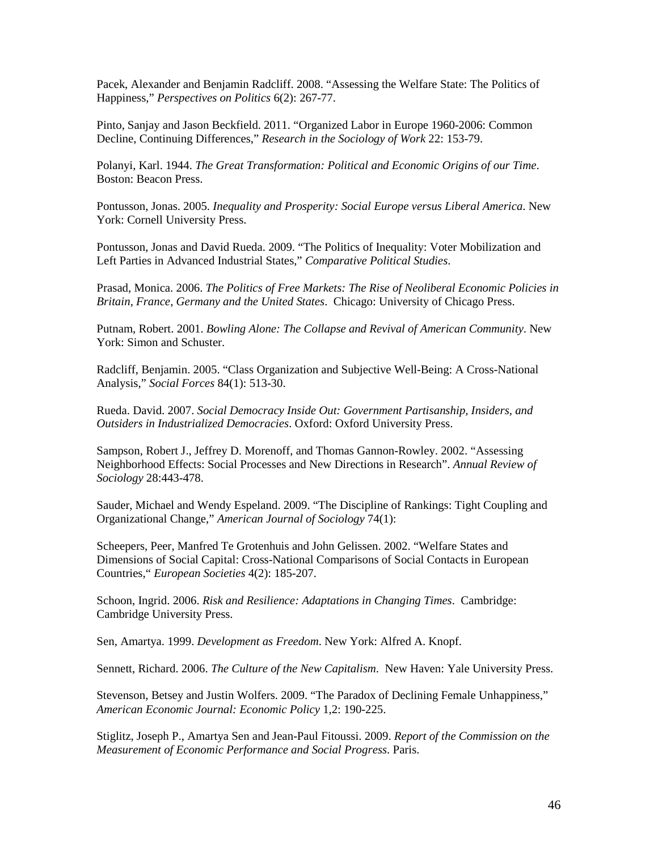Pacek, Alexander and Benjamin Radcliff. 2008. "Assessing the Welfare State: The Politics of Happiness," *Perspectives on Politics* 6(2): 267-77.

Pinto, Sanjay and Jason Beckfield. 2011. "Organized Labor in Europe 1960-2006: Common Decline, Continuing Differences," *Research in the Sociology of Work* 22: 153-79.

Polanyi, Karl. 1944. *The Great Transformation: Political and Economic Origins of our Time*. Boston: Beacon Press.

Pontusson, Jonas. 2005. *Inequality and Prosperity: Social Europe versus Liberal America*. New York: Cornell University Press.

Pontusson, Jonas and David Rueda. 2009. "The Politics of Inequality: Voter Mobilization and Left Parties in Advanced Industrial States," *Comparative Political Studies*.

Prasad, Monica. 2006. *The Politics of Free Markets: The Rise of Neoliberal Economic Policies in Britain, France, Germany and the United States*. Chicago: University of Chicago Press.

Putnam, Robert. 2001. *Bowling Alone: The Collapse and Revival of American Community*. New York: Simon and Schuster.

Radcliff, Benjamin. 2005. "Class Organization and Subjective Well-Being: A Cross-National Analysis," *Social Forces* 84(1): 513-30.

Rueda. David. 2007. *Social Democracy Inside Out: Government Partisanship, Insiders, and Outsiders in Industrialized Democracies*. Oxford: Oxford University Press.

Sampson, Robert J., Jeffrey D. Morenoff, and Thomas Gannon-Rowley. 2002. ["Assessing](http://www.wjh.harvard.edu/soc/faculty/sampson/2002.3.pdf)  [Neighborhood Effects: Social Processes and New Directions in Research"](http://www.wjh.harvard.edu/soc/faculty/sampson/2002.3.pdf). *Annual Review of Sociology* 28:443-478.

Sauder, Michael and Wendy Espeland. 2009. "The Discipline of Rankings: Tight Coupling and Organizational Change," *American Journal of Sociology* 74(1):

Scheepers, Peer, Manfred Te Grotenhuis and John Gelissen. 2002. "Welfare States and Dimensions of Social Capital: Cross-National Comparisons of Social Contacts in European Countries," *European Societies* 4(2): 185-207.

Schoon, Ingrid. 2006. *Risk and Resilience: Adaptations in Changing Times*. Cambridge: Cambridge University Press.

Sen, Amartya. 1999. *Development as Freedom*. New York: Alfred A. Knopf.

Sennett, Richard. 2006. *The Culture of the New Capitalism*. New Haven: Yale University Press.

Stevenson, Betsey and Justin Wolfers. 2009. "The Paradox of Declining Female Unhappiness," *American Economic Journal: Economic Policy* 1,2: 190-225.

Stiglitz, Joseph P., Amartya Sen and Jean-Paul Fitoussi. 2009. *Report of the Commission on the Measurement of Economic Performance and Social Progress*. Paris.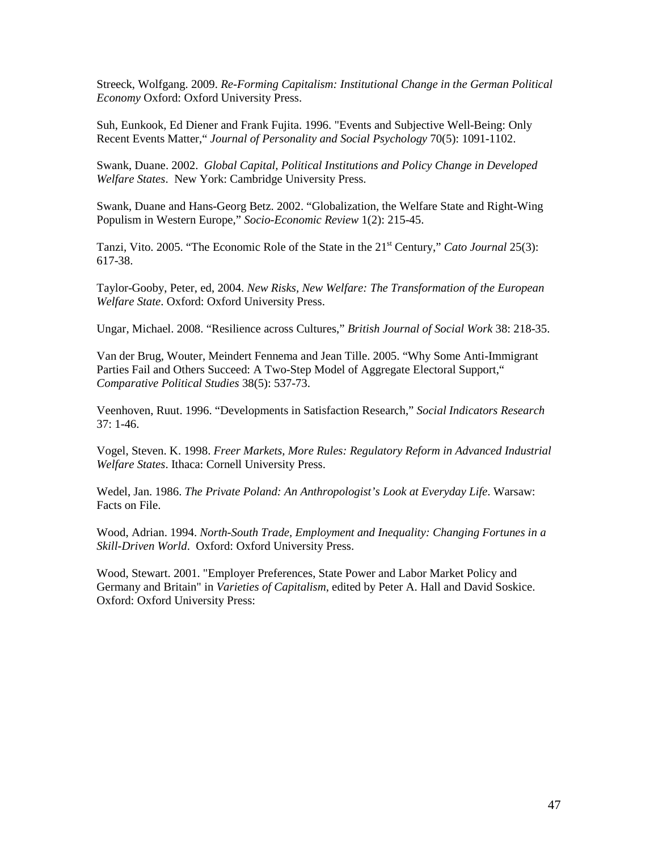Streeck, Wolfgang. 2009. *Re-Forming Capitalism: Institutional Change in the German Political Economy* Oxford: Oxford University Press.

Suh, Eunkook, Ed Diener and Frank Fujita. 1996. "Events and Subjective Well-Being: Only Recent Events Matter," *Journal of Personality and Social Psychology* 70(5): 1091-1102.

Swank, Duane. 2002. *Global Capital, Political Institutions and Policy Change in Developed Welfare States*. New York: Cambridge University Press.

Swank, Duane and Hans-Georg Betz. 2002. "Globalization, the Welfare State and Right-Wing Populism in Western Europe," *Socio-Economic Review* 1(2): 215-45.

Tanzi, Vito. 2005. "The Economic Role of the State in the 21<sup>st</sup> Century," *Cato Journal* 25(3): 617-38.

Taylor-Gooby, Peter, ed, 2004. *New Risks, New Welfare: The Transformation of the European Welfare State*. Oxford: Oxford University Press.

Ungar, Michael. 2008. "Resilience across Cultures," *British Journal of Social Work* 38: 218-35.

Van der Brug, Wouter, Meindert Fennema and Jean Tille. 2005. "Why Some Anti-Immigrant Parties Fail and Others Succeed: A Two-Step Model of Aggregate Electoral Support," *Comparative Political Studies* 38(5): 537-73.

Veenhoven, Ruut. 1996. "Developments in Satisfaction Research," *Social Indicators Research* 37: 1-46.

Vogel, Steven. K. 1998. *Freer Markets, More Rules: Regulatory Reform in Advanced Industrial Welfare States*. Ithaca: Cornell University Press.

Wedel, Jan. 1986. *The Private Poland: An Anthropologist's Look at Everyday Life*. Warsaw: Facts on File.

Wood, Adrian. 1994. *North-South Trade, Employment and Inequality: Changing Fortunes in a Skill-Driven World*. Oxford: Oxford University Press.

Wood, Stewart. 2001. "Employer Preferences, State Power and Labor Market Policy and Germany and Britain" in *Varieties of Capitalism*, edited by Peter A. Hall and David Soskice. Oxford: Oxford University Press: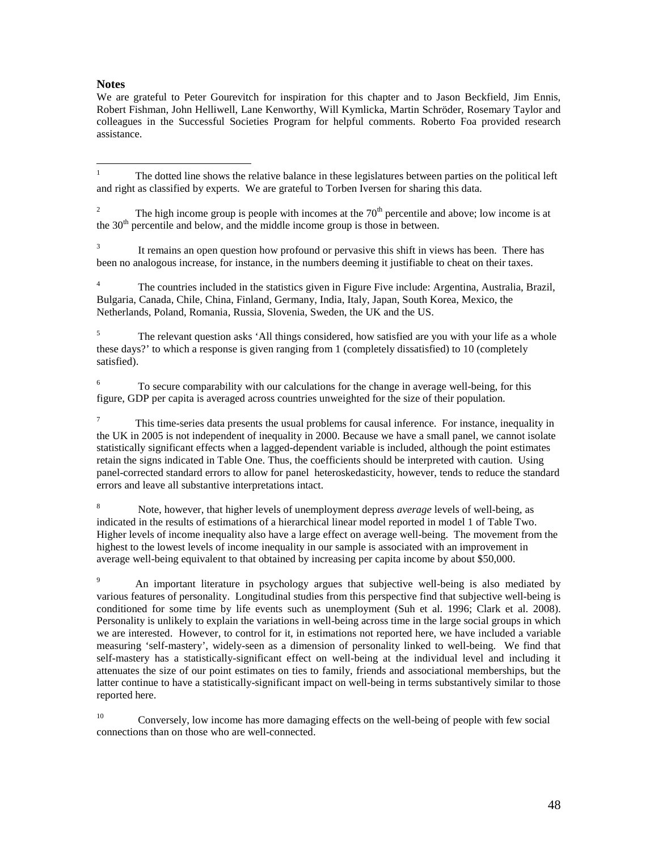#### **Notes**

We are grateful to Peter Gourevitch for inspiration for this chapter and to Jason Beckfield, Jim Ennis, Robert Fishman, John Helliwell, Lane Kenworthy, Will Kymlicka, Martin Schröder, Rosemary Taylor and colleagues in the Successful Societies Program for helpful comments. Roberto Foa provided research assistance.

<span id="page-48-0"></span><sup>1</sup> The dotted line shows the relative balance in these legislatures between parties on the political left and right as classified by experts. We are grateful to Torben Iversen for sharing this data.

<span id="page-48-1"></span><sup>2</sup> The high income group is people with incomes at the  $70<sup>th</sup>$  percentile and above; low income is at the  $30<sup>th</sup>$  percentile and below, and the middle income group is those in between.

<span id="page-48-2"></span><sup>3</sup> It remains an open question how profound or pervasive this shift in views has been. There has been no analogous increase, for instance, in the numbers deeming it justifiable to cheat on their taxes.

<span id="page-48-3"></span><sup>4</sup> The countries included in the statistics given in Figure Five include: Argentina, Australia, Brazil, Bulgaria, Canada, Chile, China, Finland, Germany, India, Italy, Japan, South Korea, Mexico, the Netherlands, Poland, Romania, Russia, Slovenia, Sweden, the UK and the US.

<span id="page-48-4"></span><sup>5</sup> The relevant question asks 'All things considered, how satisfied are you with your life as a whole these days?' to which a response is given ranging from 1 (completely dissatisfied) to 10 (completely satisfied).

<span id="page-48-5"></span><sup>6</sup> To secure comparability with our calculations for the change in average well-being, for this figure, GDP per capita is averaged across countries unweighted for the size of their population.

<span id="page-48-6"></span> $<sup>7</sup>$  This time-series data presents the usual problems for causal inference. For instance, inequality in</sup> the UK in 2005 is not independent of inequality in 2000. Because we have a small panel, we cannot isolate statistically significant effects when a lagged-dependent variable is included, although the point estimates retain the signs indicated in Table One. Thus, the coefficients should be interpreted with caution. Using panel-corrected standard errors to allow for panel heteroskedasticity, however, tends to reduce the standard errors and leave all substantive interpretations intact.

<span id="page-48-7"></span><sup>8</sup> Note, however, that higher levels of unemployment depress *average* levels of well-being, as indicated in the results of estimations of a hierarchical linear model reported in model 1 of Table Two. Higher levels of income inequality also have a large effect on average well-being. The movement from the highest to the lowest levels of income inequality in our sample is associated with an improvement in average well-being equivalent to that obtained by increasing per capita income by about \$50,000.

<span id="page-48-8"></span><sup>9</sup> An important literature in psychology argues that subjective well-being is also mediated by various features of personality. Longitudinal studies from this perspective find that subjective well-being is conditioned for some time by life events such as unemployment (Suh et al. 1996; Clark et al. 2008). Personality is unlikely to explain the variations in well-being across time in the large social groups in which we are interested. However, to control for it, in estimations not reported here, we have included a variable measuring 'self-mastery', widely-seen as a dimension of personality linked to well-being. We find that self-mastery has a statistically-significant effect on well-being at the individual level and including it attenuates the size of our point estimates on ties to family, friends and associational memberships, but the latter continue to have a statistically-significant impact on well-being in terms substantively similar to those reported here.

<span id="page-48-9"></span><sup>10</sup> Conversely, low income has more damaging effects on the well-being of people with few social connections than on those who are well-connected.